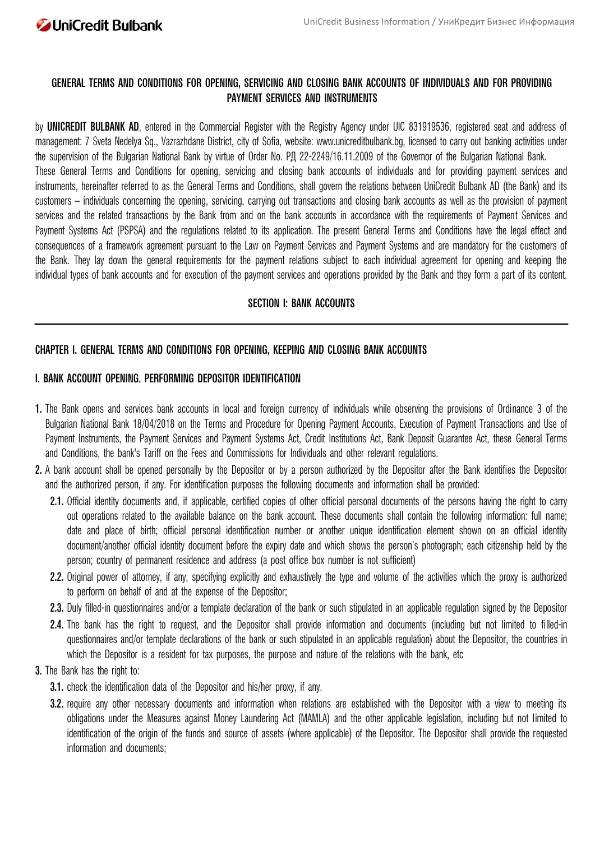

### **GENERAL TERMS AND CONDITIONS FOR OPENING, SERVICING AND CLOSING BANK ACCOUNTS OF INDIVIDUALS AND FOR PROVIDING PAYMENT SERVICES AND INSTRUMENTS**

by **UNICREDIT BULBANK АD**, entered in the Commercial Register with the Registry Agency under UIC 831919536, registered seat and address of management: 7 Sveta Nedelya Sq., Vazrazhdane District, city of Sofia, website: www.unicreditbulbank.bg, licensed to carry out banking activities under the supervision of the Bulgarian National Bank by virtue of Order No. РД 22-2249/16.11.2009 of the Governor of the Bulgarian National Bank. These General Terms and Conditions for opening, servicing and closing bank accounts of individuals and for providing payment services and instruments, hereinafter referred to as the General Terms and Conditions, shall govern the relations between UniCredit Bulbank AD (the Bank) and its customers – individuals concerning the opening, servicing, carrying out transactions and closing bank accounts as well as the provision of payment services and the related transactions by the Bank from and on the bank accounts in accordance with the requirements of Payment Services and Payment Systems Act (PSPSA) and the regulations related to its application. The present General Terms and Conditions have the legal effect and consequences of a framework agreement pursuant to the Law on Payment Services and Payment Systems and are mandatory for the customers of the Bank. They lay down the general requirements for the payment relations subject to each individual agreement for opening and keeping the individual types of bank accounts and for execution of the payment services and operations provided by the Bank and they form a part of its content.

### **SECTION I: BANK ACCOUNTS**

### **CHAPTER I. GENERAL TERMS AND CONDITIONS FOR OPENING, KEEPING AND CLOSING BANK ACCOUNTS**

### **I. BANK ACCOUNT OPENING. PERFORMING DEPOSITOR IDENTIFICATION**

- **1.** The Bank opens and services bank accounts in local and foreign currency of individuals while observing the provisions of Ordinance 3 of the Bulgarian National Bank 18/04/2018 on the Terms and Procedure for Opening Payment Accounts, Execution of Payment Transactions and Use of Payment Instruments, the Payment Services and Payment Systems Act, Credit Institutions Act, Bank Deposit Guarantee Act, these General Terms and Conditions, the bank's Tariff on the Fees and Commissions for Individuals and other relevant regulations.
- **2.** A bank account shall be opened personally by the Depositor or by a person authorized by the Depositor after the Bank identifies the Depositor and the authorized person, if any. For identification purposes the following documents and information shall be provided:
	- **2.1.** Official identity documents and, if applicable, certified copies of other official personal documents of the persons having the right to carry out operations related to the available balance on the bank account. These documents shall contain the following information: full name; date and place of birth; official personal identification number or another unique identification element shown on an official identity document/another official identity document before the expiry date and which shows the person's photograph; each citizenship held by the person; country of permanent residence and address (a post office box number is not sufficient)
	- **2.2.** Original power of attorney, if any, specifying explicitly and exhaustively the type and volume of the activities which the proxy is authorized to perform on behalf of and at the expense of the Depositor;
	- **2.3.** Duly filled-in questionnaires and/or a template declaration of the bank or such stipulated in an applicable regulation signed by the Depositor
	- **2.4.** The bank has the right to request, and the Depositor shall provide information and documents (including but not limited to filled-in questionnaires and/or template declarations of the bank or such stipulated in an applicable regulation) about the Depositor, the countries in which the Depositor is a resident for tax purposes, the purpose and nature of the relations with the bank, etc

### **3.** The Bank has the right to:

- **3.1.** check the identification data of the Depositor and his/her proxy, if any.
- **3.2.** require any other necessary documents and information when relations are established with the Depositor with a view to meeting its obligations under the Measures against Money Laundering Act (MAMLA) and the other applicable legislation, including but not limited to identification of the origin of the funds and source of assets (where applicable) of the Depositor. The Depositor shall provide the requested information and documents;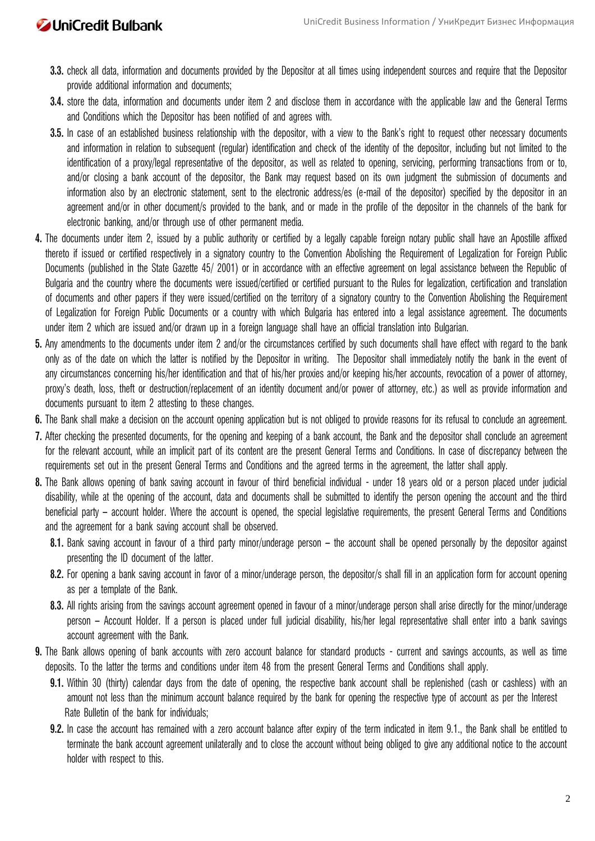- **3.3.** check all data, information and documents provided by the Depositor at all times using independent sources and require that the Depositor provide additional information and documents;
- **3.4.** store the data, information and documents under item 2 and disclose them in accordance with the applicable law and the General Terms and Conditions which the Depositor has been notified of and agrees with.
- **3.5.** In case of an established business relationship with the depositor, with a view to the Bank's right to request other necessary documents and information in relation to subsequent (regular) identification and check of the identity of the depositor, including but not limited to the identification of a proxy/legal representative of the depositor, as well as related to opening, servicing, performing transactions from or to, and/or closing a bank account of the depositor, the Bank may request based on its own judgment the submission of documents and information also by an electronic statement, sent to the electronic address/es (e-mail of the depositor) specified by the depositor in an agreement and/or in other document/s provided to the bank, and or made in the profile of the depositor in the channels of the bank for electronic banking, and/or through use of other permanent media.
- **4.** The documents under item 2, issued by a public authority or certified by a legally capable foreign notary public shall have an Apostille affixed thereto if issued or certified respectively in a signatory country to the Convention Abolishing the Requirement of Legalization for Foreign Public Documents (published in the State Gazette 45/ 2001) or in accordance with an effective agreement on legal assistance between the Republic of Bulgaria and the country where the documents were issued/certified or certified pursuant to the Rules for legalization, certification and translation of documents and other papers if they were issued/certified on the territory of a signatory country to the Convention Abolishing the Requirement of Legalization for Foreign Public Documents or a country with which Bulgaria has entered into a legal assistance agreement. The documents under item 2 which are issued and/or drawn up in a foreign language shall have an official translation into Bulgarian.
- **5.** Any amendments to the documents under item 2 and/or the circumstances certified by such documents shall have effect with regard to the bank only as of the date on which the latter is notified by the Depositor in writing. The Depositor shall immediately notify the bank in the event of any circumstances concerning his/her identification and that of his/her proxies and/or keeping his/her accounts, revocation of a power of attorney, proxy's death, loss, theft or destruction/replacement of an identity document and/or power of attorney, etc.) as well as provide information and documents pursuant to item 2 attesting to these changes.
- **6.** The Bank shall make a decision on the account opening application but is not obliged to provide reasons for its refusal to conclude an agreement.
- **7.** After checking the presented documents, for the opening and keeping of a bank account, the Bank and the depositor shall conclude an agreement for the relevant account, while an implicit part of its content are the present General Terms and Conditions. In case of discrepancy between the requirements set out in the present General Terms and Conditions and the agreed terms in the agreement, the latter shall apply.
- **8.** The Bank allows opening of bank saving account in favour of third beneficial individual under 18 years old or a person placed under judicial disability, while at the opening of the account, data and documents shall be submitted to identify the person opening the account and the third beneficial party – account holder. Where the account is opened, the special legislative requirements, the present General Terms and Conditions and the agreement for a bank saving account shall be observed.
	- **8.1.** Bank saving account in favour of a third party minor/underage person the account shall be opened personally by the depositor against presenting the ID document of the latter.
	- **8.2.** For opening a bank saving account in favor of a minor/underage person, the depositor/s shall fill in an application form for account opening as per a template of the Bank.
	- **8.3.** All rights arising from the savings account agreement opened in favour of a minor/underage person shall arise directly for the minor/underage person – Account Holder. If a person is placed under full judicial disability, his/her legal representative shall enter into a bank savings account agreement with the Bank.
- **9.** The Bank allows opening of bank accounts with zero account balance for standard products current and savings accounts, as well as time deposits. To the latter the terms and conditions under item 48 from the present General Terms and Conditions shall apply.
	- **9.1.** Within 30 (thirty) calendar days from the date of opening, the respective bank account shall be replenished (cash or cashless) with an amount not less than the minimum account balance required by the bank for opening the respective type of account as per the Interest Rate Bulletin of the bank for individuals;
	- **9.2.** In case the account has remained with a zero account balance after expiry of the term indicated in item 9.1., the Bank shall be entitled to terminate the bank account agreement unilaterally and to close the account without being obliged to give any additional notice to the account holder with respect to this.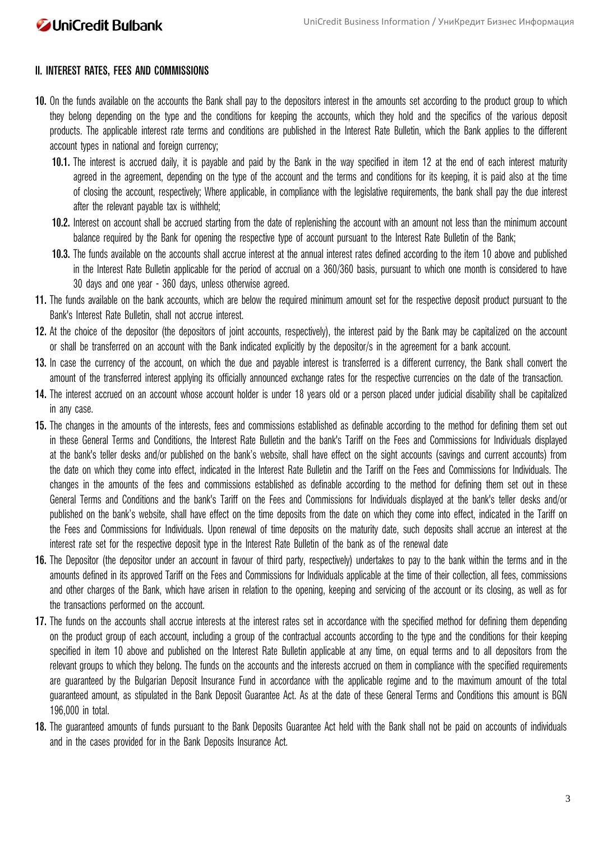### **ІІ. INTEREST RATES, FEES AND COMMISSIONS**

- **10.** On the funds available on the accounts the Bank shall pay to the depositors interest in the amounts set according to the product group to which they belong depending on the type and the conditions for keeping the accounts, which they hold and the specifics of the various deposit products. The applicable interest rate terms and conditions are published in the Interest Rate Bulletin, which the Bank applies to the different account types in national and foreign currency;
	- **10.1.** The interest is accrued daily, it is payable and paid by the Bank in the way specified in item 12 at the end of each interest maturity agreed in the agreement, depending on the type of the account and the terms and conditions for its keeping, it is paid also at the time of closing the account, respectively; Where applicable, in compliance with the legislative requirements, the bank shall pay the due interest after the relevant payable tax is withheld;
	- **10.2.** Interest on account shall be accrued starting from the date of replenishing the account with an amount not less than the minimum account balance required by the Bank for opening the respective type of account pursuant to the Interest Rate Bulletin of the Bank;
	- **10.3.** The funds available on the accounts shall accrue interest at the annual interest rates defined according to the item 10 above and published in the Interest Rate Bulletin applicable for the period of accrual on a 360/360 basis, pursuant to which one month is considered to have 30 days and one year - 360 days, unless otherwise agreed.
- **11.** The funds available on the bank accounts, which are below the required minimum amount set for the respective deposit product pursuant to the Bank's Interest Rate Bulletin, shall not accrue interest.
- **12.** At the choice of the depositor (the depositors of joint accounts, respectively), the interest paid by the Bank may be capitalized on the account or shall be transferred on an account with the Bank indicated explicitly by the depositor/s in the agreement for a bank account.
- **13.** In case the currency of the account, on which the due and payable interest is transferred is a different currency, the Bank shall convert the amount of the transferred interest applying its officially announced exchange rates for the respective currencies on the date of the transaction.
- **14.** The interest accrued on an account whose account holder is under 18 years old or a person placed under judicial disability shall be capitalized in any case.
- **15.** The changes in the amounts of the interests, fees and commissions established as definable according to the method for defining them set out in these General Terms and Conditions, the Interest Rate Bulletin and the bank's Tariff on the Fees and Commissions for Individuals displayed at the bank's teller desks and/or published on the bank's website, shall have effect on the sight accounts (savings and current accounts) from the date on which they come into effect, indicated in the Interest Rate Bulletin and the Tariff on the Fees and Commissions for Individuals. The changes in the amounts of the fees and commissions established as definable according to the method for defining them set out in these General Terms and Conditions and the bank's Tariff on the Fees and Commissions for Individuals displayed at the bank's teller desks and/or published on the bank's website, shall have effect on the time deposits from the date on which they come into effect, indicated in the Tariff on the Fees and Commissions for Individuals. Upon renewal of time deposits on the maturity date, such deposits shall accrue an interest at the interest rate set for the respective deposit type in the Interest Rate Bulletin of the bank as of the renewal date
- **16.** The Depositor (the depositor under an account in favour of third party, respectively) undertakes to pay to the bank within the terms and in the amounts defined in its approved Tariff on the Fees and Commissions for Individuals applicable at the time of their collection, all fees, commissions and other charges of the Bank, which have arisen in relation to the opening, keeping and servicing of the account or its closing, as well as for the transactions performed on the account.
- **17.** The funds on the accounts shall accrue interests at the interest rates set in accordance with the specified method for defining them depending on the product group of each account, including a group of the contractual accounts according to the type and the conditions for their keeping specified in item 10 above and published on the Interest Rate Bulletin applicable at any time, on equal terms and to all depositors from the relevant groups to which they belong. The funds on the accounts and the interests accrued on them in compliance with the specified requirements are guaranteed by the Bulgarian Deposit Insurance Fund in accordance with the applicable regime and to the maximum amount of the total guaranteed amount, as stipulated in the Bank Deposit Guarantee Act. As at the date of these General Terms and Conditions this amount is BGN 196,000 in total.
- **18.** The guaranteed amounts of funds pursuant to the Bank Deposits Guarantee Act held with the Bank shall not be paid on accounts of individuals and in the cases provided for in the Bank Deposits Insurance Act.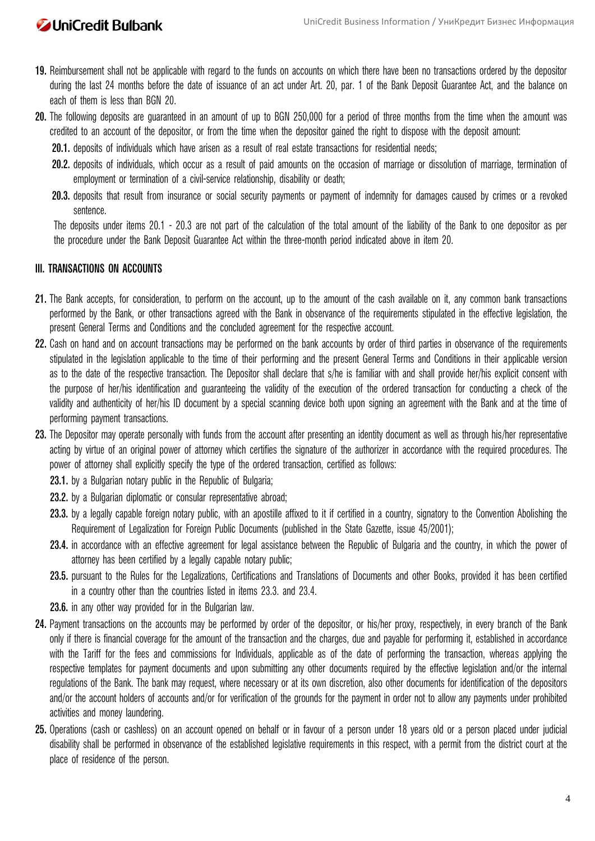- **19.** Reimbursement shall not be applicable with regard to the funds on accounts on which there have been no transactions ordered by the depositor during the last 24 months before the date of issuance of an act under Art. 20, par. 1 of the Bank Deposit Guarantee Act, and the balance on each of them is less than BGN 20.
- **20.** The following deposits are guaranteed in an amount of up to BGN 250,000 for a period of three months from the time when the amount was credited to an account of the depositor, or from the time when the depositor gained the right to dispose with the deposit amount:
	- **20.1.** deposits of individuals which have arisen as a result of real estate transactions for residential needs;
	- **20.2.** deposits of individuals, which occur as a result of paid amounts on the occasion of marriage or dissolution of marriage, termination of employment or termination of a civil-service relationship, disability or death;
	- **20.3.** deposits that result from insurance or social security payments or payment of indemnity for damages caused by crimes or a revoked sentence.

The deposits under items 20.1 - 20.3 are not part of the calculation of the total amount of the liability of the Bank to one depositor as per the procedure under the Bank Deposit Guarantee Act within the three-month period indicated above in item 20.

### **ІІІ. TRANSACTIONS ON ACCOUNTS**

- **21.** The Bank accepts, for consideration, to perform on the account, up to the amount of the cash available on it, any common bank transactions performed by the Bank, or other transactions agreed with the Bank in observance of the requirements stipulated in the effective legislation, the present General Terms and Conditions and the concluded agreement for the respective account.
- **22.** Cash on hand and on account transactions may be performed on the bank accounts by order of third parties in observance of the requirements stipulated in the legislation applicable to the time of their performing and the present General Terms and Conditions in their applicable version as to the date of the respective transaction. The Depositor shall declare that s/he is familiar with and shall provide her/his explicit consent with the purpose of her/his identification and guaranteeing the validity of the execution of the ordered transaction for conducting a check of the validity and authenticity of her/his ID document by a special scanning device both upon signing an agreement with the Bank and at the time of performing payment transactions.
- **23.** The Depositor may operate personally with funds from the account after presenting an identity document as well as through his/her representative acting by virtue of an original power of attorney which certifies the signature of the authorizer in accordance with the required procedures. The power of attorney shall explicitly specify the type of the ordered transaction, certified as follows:
	- 23.1. by a Bulgarian notary public in the Republic of Bulgaria:
	- **23.2.** by a Bulgarian diplomatic or consular representative abroad;
	- **23.3.** by a legally capable foreign notary public, with an apostille affixed to it if certified in a country, signatory to the Convention Abolishing the Requirement of Legalization for Foreign Public Documents (published in the State Gazette, issue 45/2001);
	- **23.4.** in accordance with an effective аgreement for legal assistance between the Republic of Bulgaria and the country, in which the power of attorney has been certified by a legally capable notary public;
	- **23.5.** pursuant to the Rules for the Legalizations, Certifications and Translations of Documents and other Books, provided it has been certified in a country other than the countries listed in items 23.3. and 23.4.
	- **23.6.** in any other way provided for in the Bulgarian law.
- **24.** Payment transactions on the accounts may be performed by order of the depositor, or his/her proxy, respectively, in every branch of the Bank only if there is financial coverage for the amount of the transaction and the charges, due and payable for performing it, established in accordance with the Tariff for the fees and commissions for Individuals, applicable as of the date of performing the transaction, whereas applying the respective templates for payment documents and upon submitting any other documents required by the effective legislation and/or the internal regulations of the Bank. The bank may request, where necessary or at its own discretion, also other documents for identification of the depositors and/or the account holders of accounts and/or for verification of the grounds for the payment in order not to allow any payments under prohibited activities and money laundering.
- **25.** Operations (cash or cashless) on an account opened on behalf or in favour of a person under 18 years old or a person placed under judicial disability shall be performed in observance of the established legislative requirements in this respect, with a permit from the district court at the place of residence of the person.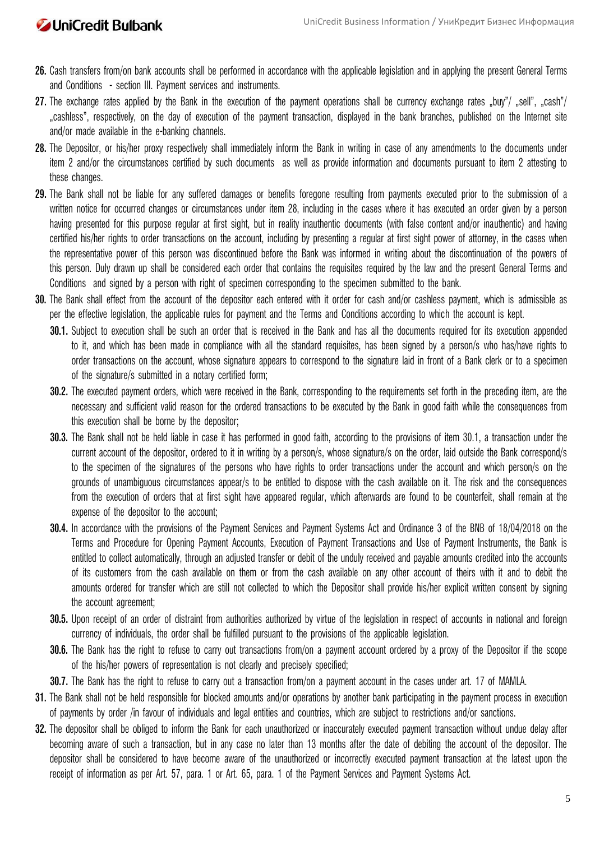- 26. Cash transfers from/on bank accounts shall be performed in accordance with the applicable legislation and in applying the present General Terms and Conditions - section III. Payment services and instruments.
- 27. The exchange rates applied by the Bank in the execution of the payment operations shall be currency exchange rates "buy"/ "sell", "cash"/ .cashless", respectively, on the day of execution of the payment transaction, displayed in the bank branches, published on the Internet site and/or made available in the e-banking channels.
- **28.** The Depositor, or his/her proxy respectively shall immediately inform the Bank in writing in case of any amendments to the documents under item 2 and/or the circumstances certified by such documents as well as provide information and documents pursuant to item 2 attesting to these changes.
- **29.** The Bank shall not be liable for any suffered damages or benefits foregone resulting from payments executed prior to the submission of a written notice for occurred changes or circumstances under item 28, including in the cases where it has executed an order given by a person having presented for this purpose regular at first sight, but in reality inauthentic documents (with false content and/or inauthentic) and having certified his/her rights to order transactions on the account, including by presenting a regular at first sight power of attorney, in the cases when the representative power of this person was discontinued before the Bank was informed in writing about the discontinuation of the powers of this person. Duly drawn up shall be considered each order that contains the requisites required by the law and the present General Terms and Conditions and signed by a person with right of specimen corresponding to the specimen submitted to the bank.
- **30.** The Bank shall effect from the account of the depositor each entered with it order for cash and/or cashless payment, which is admissible as per the effective legislation, the applicable rules for payment and the Terms and Conditions according to which the account is kept.
	- **30.1.** Subject to execution shall be such an order that is received in the Bank and has all the documents required for its execution appended to it, and which has been made in compliance with all the standard requisites, has been signed by a person/s who has/have rights to order transactions on the account, whose signature appears to correspond to the signature laid in front of a Bank clerk or to a specimen of the signature/s submitted in a notary certified form;
	- **30.2.** The executed payment orders, which were received in the Bank, corresponding to the requirements set forth in the preceding item, are the necessary and sufficient valid reason for the ordered transactions to be executed by the Bank in good faith while the consequences from this execution shall be borne by the depositor;
	- **30.3.** The Bank shall not be held liable in case it has performed in good faith, according to the provisions of item 30.1, a transaction under the current account of the depositor, ordered to it in writing by a person/s, whose signature/s on the order, laid outside the Bank correspond/s to the specimen of the signatures of the persons who have rights to order transactions under the account and which person/s on the grounds of unambiguous circumstances appear/s to be entitled to dispose with the cash available on it. The risk and the consequences from the execution of orders that at first sight have appeared regular, which afterwards are found to be counterfeit, shall remain at the expense of the depositor to the account;
	- **30.4.** In accordance with the provisions of the Payment Services and Payment Systems Act and Ordinance 3 of the BNB of 18/04/2018 on the Terms and Procedure for Opening Payment Accounts, Execution of Payment Transactions and Use of Payment Instruments, the Bank is entitled to collect automatically, through an adjusted transfer or debit of the unduly received and payable amounts credited into the accounts of its customers from the cash available on them or from the cash available on any other account of theirs with it and to debit the amounts ordered for transfer which are still not collected to which the Depositor shall provide his/her explicit written consent by signing the account agreement;
	- **30.5.** Upon receipt of an order of distraint from authorities authorized by virtue of the legislation in respect of accounts in national and foreign currency of individuals, the order shall be fulfilled pursuant to the provisions of the applicable legislation.
	- **30.6.** The Bank has the right to refuse to carry out transactions from/on a payment account ordered by a proxy of the Depositor if the scope of the his/her powers of representation is not clearly and precisely specified;
	- **30.7.** The Bank has the right to refuse to carry out a transaction from/on a payment account in the cases under art. 17 of MAMLA.
- **31.** The Bank shall not be held responsible for blocked amounts and/or operations by another bank participating in the payment process in execution of payments by order /in favour of individuals and legal entities and countries, which are subject to restrictions and/or sanctions.
- **32.** The depositor shall be obliged to inform the Bank for each unauthorized or inaccurately executed payment transaction without undue delay after becoming aware of such a transaction, but in any case no later than 13 months after the date of debiting the account of the depositor. The depositor shall be considered to have become aware of the unauthorized or incorrectly executed payment transaction at the latest upon the receipt of information as per Art. 57, para. 1 or Art. 65, para. 1 of the Payment Services and Payment Systems Act.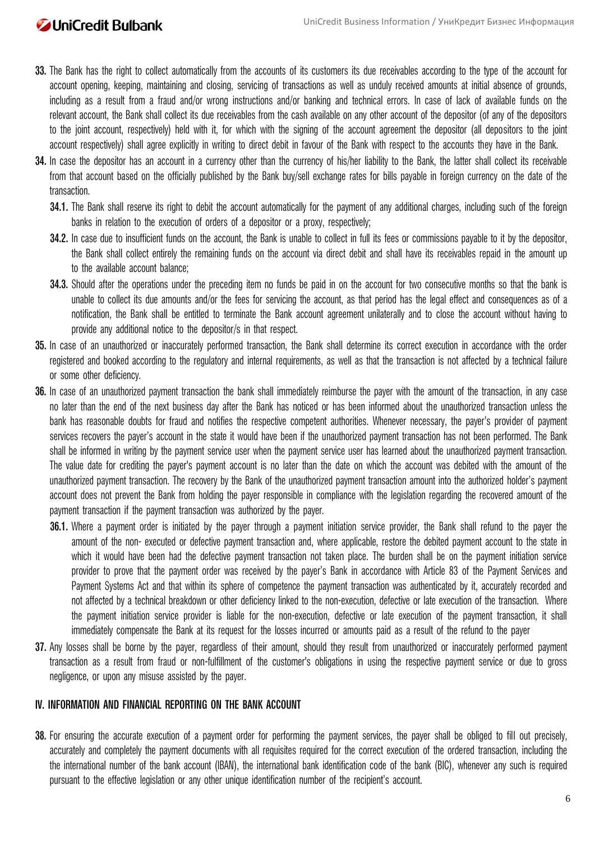- **33.** The Bank has the right to collect automatically from the accounts of its customers its due receivables according to the type of the account for account opening, keeping, maintaining and closing, servicing of transactions as well as unduly received amounts at initial absence of grounds, including as a result from a fraud and/or wrong instructions and/or banking and technical errors. In case of lack of available funds on the relevant account, the Bank shall collect its due receivables from the cash available on any other account of the depositor (of any of the depositors to the joint account, respectively) held with it, for which with the signing of the account agreement the depositor (all depositors to the joint account respectively) shall agree explicitly in writing to direct debit in favour of the Bank with respect to the accounts they have in the Bank.
- **34.** In case the depositor has an account in a currency other than the currency of his/her liability to the Bank, the latter shall collect its receivable from that account based on the officially published by the Bank buy/sell exchange rates for bills payable in foreign currency on the date of the transaction.
	- **34.1.** The Bank shall reserve its right to debit the account automatically for the payment of any additional charges, including such of the foreign banks in relation to the execution of orders of a depositor or a proxy, respectively;
	- **34.2.** In case due to insufficient funds on the account, the Bank is unable to collect in full its fees or commissions payable to it by the depositor, the Bank shall collect entirely the remaining funds on the account via direct debit and shall have its receivables repaid in the amount up to the available account balance;
	- **34.3.** Should after the operations under the preceding item no funds be paid in on the account for two consecutive months so that the bank is unable to collect its due amounts and/or the fees for servicing the account, as that period has the legal effect and consequences as of a notification, the Bank shall be entitled to terminate the Bank account agreement unilaterally and to close the account without having to provide any additional notice to the depositor/s in that respect.
- **35.** In case of an unauthorized or inaccurately performed transaction, the Bank shall determine its correct execution in accordance with the order registered and booked according to the regulatory and internal requirements, as well as that the transaction is not affected by a technical failure or some other deficiency.
- **36.** In case of an unauthorized payment transaction the bank shall immediately reimburse the payer with the amount of the transaction, in any case no later than the end of the next business day after the Bank has noticed or has been informed about the unauthorized transaction unless the bank has reasonable doubts for fraud and notifies the respective competent authorities. Whenever necessary, the payer's provider of payment services recovers the payer's account in the state it would have been if the unauthorized payment transaction has not been performed. The Bank shall be informed in writing by the payment service user when the payment service user has learned about the unauthorized payment transaction. The value date for crediting the payer's payment account is no later than the date on which the account was debited with the amount of the unauthorized payment transaction. The recovery by the Bank of the unauthorized payment transaction amount into the authorized holder's payment account does not prevent the Bank from holding the payer responsible in compliance with the legislation regarding the recovered amount of the payment transaction if the payment transaction was authorized by the payer.
	- **36.1.** Where a payment order is initiated by the payer through a payment initiation service provider, the Bank shall refund to the payer the amount of the non- executed or defective payment transaction and, where applicable, restore the debited payment account to the state in which it would have been had the defective payment transaction not taken place. The burden shall be on the payment initiation service provider to prove that the payment order was received by the payer's Bank in accordance with Article 83 of the Payment Services and Payment Systems Act and that within its sphere of competence the payment transaction was authenticated by it, accurately recorded and not affected by a technical breakdown or other deficiency linked to the non-execution, defective or late execution of the transaction. Where the payment initiation service provider is liable for the non-execution, defective or late execution of the payment transaction, it shall immediately compensate the Bank at its request for the losses incurred or amounts paid as a result of the refund to the payer
- **37.** Any losses shall be borne by the payer, regardless of their amount, should they result from unauthorized or inaccurately performed payment transaction as a result from fraud or non-fulfillment of the customer's obligations in using the respective payment service or due to gross negligence, or upon any misuse assisted by the payer.

### **ІV. INFORMATION AND FINANCIAL REPORTING ON THE BANK ACCOUNT**

**38.** For ensuring the accurate execution of a payment order for performing the payment services, the payer shall be obliged to fill out precisely, accurately and completely the payment documents with all requisites required for the correct execution of the ordered transaction, including the the international number of the bank account (IBAN), the international bank identification code of the bank (BIC), whenever any such is required pursuant to the effective legislation or any other unique identification number of the recipient's account.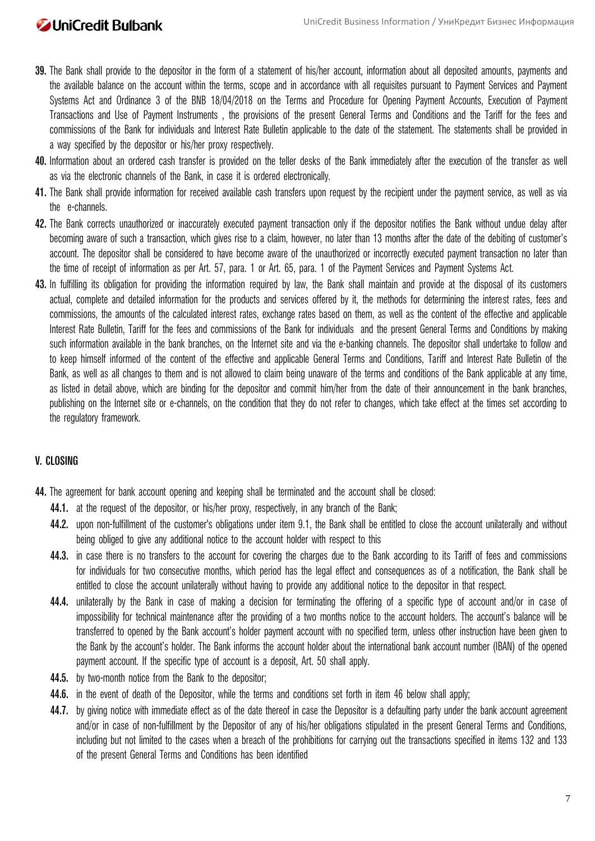- **39.** The Bank shall provide to the depositor in the form of a statement of his/her account, information about all deposited amounts, payments and the available balance on the account within the terms, scope and in accordance with all requisites pursuant to Payment Services and Payment Systems Act and Ordinance 3 of the BNB 18/04/2018 on the Terms and Procedure for Opening Payment Accounts, Execution of Payment Transactions and Use of Payment Instruments , the provisions of the present General Terms and Conditions and the Tariff for the fees and commissions of the Bank for individuals and Interest Rate Bulletin applicable to the date of the statement. The statements shall be provided in a way specified by the depositor or his/her proxy respectively.
- **40.** Information about an ordered cash transfer is provided on the teller desks of the Bank immediately after the execution of the transfer as well as via the electronic channels of the Bank, in case it is ordered electronically.
- **41.** The Bank shall provide information for received available cash transfers upon request by the recipient under the payment service, as well as via the e-channels.
- **42.** The Bank corrects unauthorized or inaccurately executed payment transaction only if the depositor notifies the Bank without undue delay after becoming aware of such a transaction, which gives rise to a claim, however, no later than 13 months after the date of the debiting of customer's account. The depositor shall be considered to have become aware of the unauthorized or incorrectly executed payment transaction no later than the time of receipt of information as per Art. 57, para. 1 or Art. 65, para. 1 of the Payment Services and Payment Systems Act.
- **43.** In fulfilling its obligation for providing the information required by law, the Bank shall maintain and provide at the disposal of its customers actual, complete and detailed information for the products and services offered by it, the methods for determining the interest rates, fees and commissions, the amounts of the calculated interest rates, exchange rates based on them, as well as the content of the effective and applicable Interest Rate Bulletin, Tariff for the fees and commissions of the Bank for individuals and the present General Terms and Conditions by making such information available in the bank branches, on the Internet site and via the e-banking channels. The depositor shall undertake to follow and to keep himself informed of the content of the effective and applicable General Terms and Conditions, Tariff and Interest Rate Bulletin of the Bank, as well as all changes to them and is not allowed to claim being unaware of the terms and conditions of the Bank applicable at any time, as listed in detail above, which are binding for the depositor and commit him/her from the date of their announcement in the bank branches, publishing on the Internet site or e-channels, on the condition that they do not refer to changes, which take effect at the times set according to the regulatory framework.

### **V. CLOSING**

- **44.** The agreement for bank account opening and keeping shall be terminated and the account shall be closed:
	- **44.1.** at the request of the depositor, or his/her proxy, respectively, in any branch of the Bank;
	- **44.2.** upon non-fulfillment of the customer's obligations under item 9.1, the Bank shall be entitled to close the account unilaterally and without being obliged to give any additional notice to the account holder with respect to this
	- **44.3.** in case there is no transfers to the account for covering the charges due to the Bank according to its Tariff of fees and commissions for individuals for two consecutive months, which period has the legal effect and consequences as of a notification, the Bank shall be entitled to close the account unilaterally without having to provide any additional notice to the depositor in that respect.
	- **44.4.** unilaterally by the Bank in case of making a decision for terminating the offering of a specific type of account and/or in case of impossibility for technical maintenance after the providing of a two months notice to the account holders. The account's balance will be transferred to opened by the Bank account's holder payment account with no specified term, unless other instruction have been given to the Bank by the account's holder. The Bank informs the account holder about the international bank account number (IBAN) of the opened payment account. If the specific type of account is a deposit, Art. 50 shall apply.
	- **44.5.** by two-month notice from the Bank to the depositor;
	- **44.6.** in the event of death of the Depositor, while the terms and conditions set forth in item 46 below shall apply;
	- **44.7.** by giving notice with immediate effect as of the date thereof in case the Depositor is a defaulting party under the bank account agreement and/or in case of non-fulfillment by the Depositor of any of his/her obligations stipulated in the present General Terms and Conditions, including but not limited to the cases when a breach of the prohibitions for carrying out the transactions specified in items 132 and 133 of the present General Terms and Conditions has been identified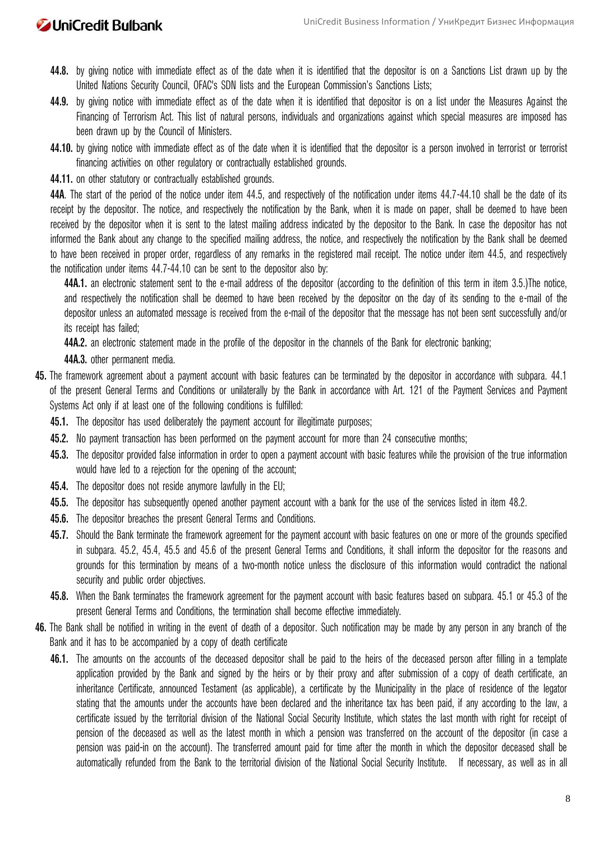- **44.8.** by giving notice with immediate effect as of the date when it is identified that the depositor is on a Sanctions List drawn up by the United Nations Security Council, OFAC's SDN lists and the European Commission's Sanctions Lists;
- **44.9.** by giving notice with immediate effect as of the date when it is identified that depositor is on a list under the Measures Against the Financing of Terrorism Act. This list of natural persons, individuals and organizations against which special measures are imposed has been drawn up by the Council of Ministers.
- **44.10.** by giving notice with immediate effect as of the date when it is identified that the depositor is a person involved in terrorist or terrorist financing activities on other regulatory or contractually established grounds.

**44.11.** on other statutory or contractually established grounds.

**44А**. The start of the period of the notice under item 44.5, and respectively of the notification under items 44.7-44.10 shall be the date of its receipt by the depositor. The notice, and respectively the notification by the Bank, when it is made on paper, shall be deemed to have been received by the depositor when it is sent to the latest mailing address indicated by the depositor to the Bank. In case the depositor has not informed the Bank about any change to the specified mailing address, the notice, and respectively the notification by the Bank shall be deemed to have been received in proper order, regardless of any remarks in the registered mail receipt. The notice under item 44.5, and respectively the notification under items 44.7-44.10 can be sent to the depositor also by:

**44A.1.** an electronic statement sent to the e-mail address of the depositor (according to the definition of this term in item 3.5.)The notice, and respectively the notification shall be deemed to have been received by the depositor on the day of its sending to the e-mail of the depositor unless an automated message is received from the e-mail of the depositor that the message has not been sent successfully and/or its receipt has failed;

**44A.2.** an electronic statement made in the profile of the depositor in the channels of the Bank for electronic banking;

**44A.3.** other permanent media.

- **45.** The framework agreement about a payment account with basic features can be terminated by the depositor in accordance with subpara. 44.1 of the present General Terms and Conditions or unilaterally by the Bank in accordance with Art. 121 of the Payment Services and Payment Systems Act only if at least one of the following conditions is fulfilled:
	- **45.1.** The depositor has used deliberately the payment account for illegitimate purposes;
	- **45.2.** No payment transaction has been performed on the payment account for more than 24 consecutive months;
	- **45.3.** The depositor provided false information in order to open a payment account with basic features while the provision of the true information would have led to a rejection for the opening of the account;
	- **45.4.** The depositor does not reside anymore lawfully in the EU;
	- **45.5.** The depositor has subsequently opened another payment account with a bank for the use of the services listed in item 48.2.
	- **45.6.** The depositor breaches the present General Terms and Conditions.
	- **45.7.** Should the Bank terminate the framework agreement for the payment account with basic features on one or more of the grounds specified in subpara. 45.2, 45.4, 45.5 and 45.6 of the present General Terms and Conditions, it shall inform the depositor for the reasons and grounds for this termination by means of a two-month notice unless the disclosure of this information would contradict the national security and public order objectives.
	- **45.8.** When the Bank terminates the framework agreement for the payment account with basic features based on subpara. 45.1 or 45.3 of the present General Terms and Conditions, the termination shall become effective immediately.
- **46.** The Bank shall be notified in writing in the event of death of a depositor. Such notification may be made by any person in any branch of the Bank and it has to be accompanied by a copy of death certificate
	- **46.1.** The amounts on the accounts of the deceased depositor shall be paid to the heirs of the deceased person after filling in a template application provided by the Bank and signed by the heirs or by their proxy and after submission of a copy of death certificate, an inheritance Certificate, announced Testament (as applicable), a certificate by the Municipality in the place of residence of the legator stating that the amounts under the accounts have been declared and the inheritance tax has been paid, if any according to the law, a certificate issued by the territorial division of the National Social Security Institute, which states the last month with right for receipt of pension of the deceased as well as the latest month in which a pension was transferred on the account of the depositor (in case a pension was paid-in on the account). The transferred amount paid for time after the month in which the depositor deceased shall be automatically refunded from the Bank to the territorial division of the National Social Security Institute. If necessary, as well as in all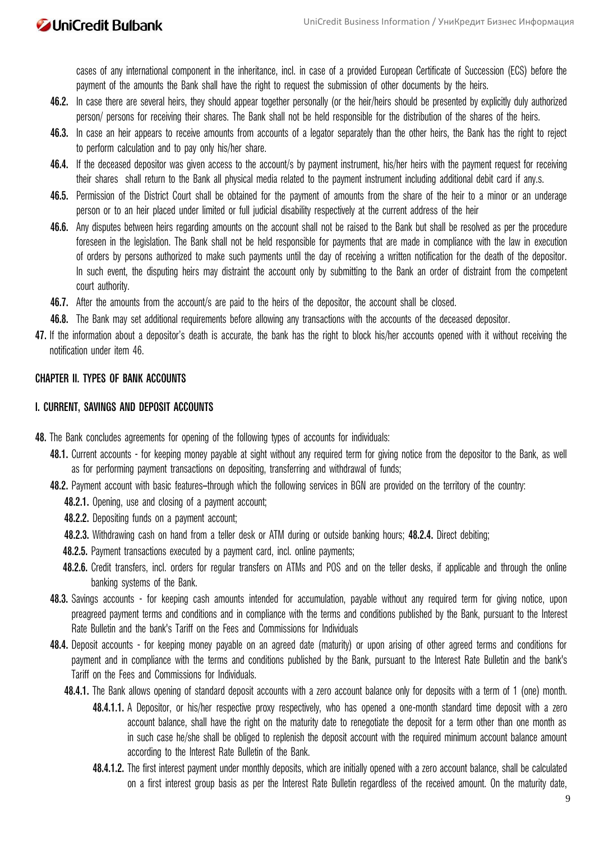cases of any international component in the inheritance, incl. in case of a provided European Certificate of Succession (ECS) before the payment of the amounts the Bank shall have the right to request the submission of other documents by the heirs.

- **46.2.** In case there are several heirs, they should appear together personally (or the heir/heirs should be presented by explicitly duly authorized person/ persons for receiving their shares. The Bank shall not be held responsible for the distribution of the shares of the heirs.
- **46.3.** In case an heir appears to receive amounts from accounts of a legator separately than the other heirs, the Bank has the right to reject to perform calculation and to pay only his/her share.
- **46.4.** If the deceased depositor was given access to the account/s by payment instrument, his/her heirs with the payment request for receiving their shares shall return to the Bank all physical media related to the payment instrument including additional debit card if any.s.
- **46.5.** Permission of the District Court shall be obtained for the payment of amounts from the share of the heir to a minor or an underage person or to an heir placed under limited or full judicial disability respectively at the current address of the heir
- **46.6.** Any disputes between heirs regarding amounts on the account shall not be raised to the Bank but shall be resolved as per the procedure foreseen in the legislation. The Bank shall not be held responsible for payments that are made in compliance with the law in execution of orders by persons authorized to make such payments until the day of receiving a written notification for the death of the depositor. In such event, the disputing heirs may distraint the account only by submitting to the Bank an order of distraint from the competent court authority.
- **46.7.** After the amounts from the account/s are paid to the heirs of the depositor, the account shall be closed.
- **46.8.** The Bank may set additional requirements before allowing any transactions with the accounts of the deceased depositor.
- **47.** If the information about a depositor's death is accurate, the bank has the right to block his/her accounts opened with it without receiving the notification under item 46.

### **CHAPTER II. TYPES OF BANK ACCOUNTS**

### **І. CURRENT, SAVINGS AND DEPOSIT ACCOUNTS**

- **48.** The Bank concludes agreements for opening of the following types of accounts for individuals:
	- **48.1.** Current accounts for keeping money payable at sight without any required term for giving notice from the depositor to the Bank, as well as for performing payment transactions on depositing, transferring and withdrawal of funds;
	- **48.2.** Payment account with basic features–through which the following services in BGN are provided on the territory of the country:
		- **48.2.1.** Opening, use and closing of a payment account;
		- **48.2.2.** Depositing funds on a payment account;
		- **48.2.3.** Withdrawing cash on hand from a teller desk or ATM during or outside banking hours; **48.2.4.** Direct debiting;
		- **48.2.5.** Payment transactions executed by a payment card, incl. online payments;
		- **48.2.6.** Credit transfers, incl. orders for regular transfers on ATMs and POS and on the teller desks, if applicable and through the online banking systems of the Bank.
	- **48.3.** Savings accounts for keeping cash amounts intended for accumulation, payable without any required term for giving notice, upon preagreed payment terms and conditions and in compliance with the terms and conditions published by the Bank, pursuant to the Interest Rate Bulletin and the bank's Tariff on the Fees and Commissions for Individuals
	- **48.4.** Deposit accounts for keeping money payable on an agreed date (maturity) or upon arising of other agreed terms and conditions for payment and in compliance with the terms and conditions published by the Bank, pursuant to the Interest Rate Bulletin and the bank's Tariff on the Fees and Commissions for Individuals.
		- **48.4.1.** The Bank allows opening of standard deposit accounts with a zero account balance only for deposits with a term of 1 (one) month.
			- **48.4.1.1.** A Depositor, or his/her respective proxy respectively, who has opened a one-month standard time deposit with a zero account balance, shall have the right on the maturity date to renegotiate the deposit for a term other than one month as in such case he/she shall be obliged to replenish the deposit account with the required minimum account balance amount according to the Interest Rate Bulletin of the Bank.
			- **48.4.1.2.** The first interest payment under monthly deposits, which are initially opened with a zero account balance, shall be calculated on a first interest group basis as per the Interest Rate Bulletin regardless of the received amount. On the maturity date,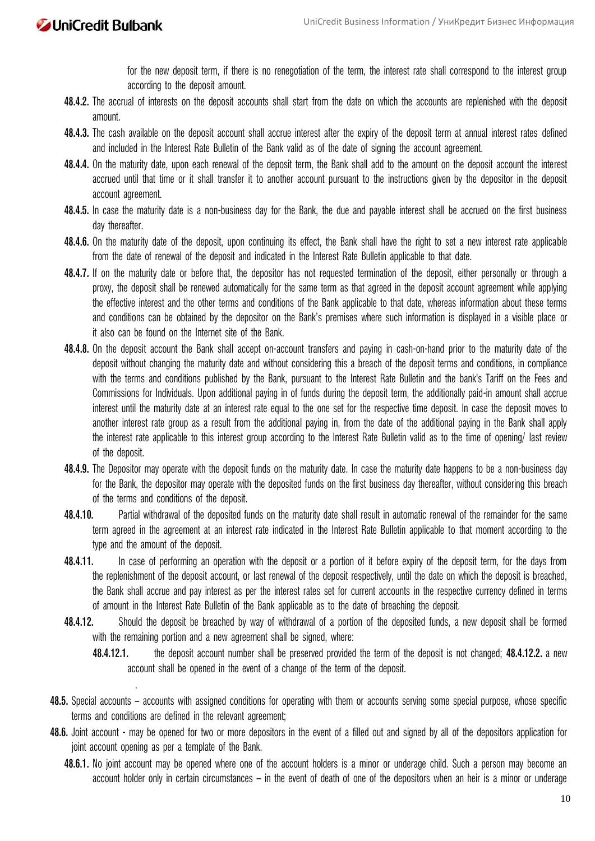.

for the new deposit term, if there is no renegotiation of the term, the interest rate shall correspond to the interest group according to the deposit amount.

- **48.4.2.** The accrual of interests on the deposit accounts shall start from the date on which the accounts are replenished with the deposit amount.
- **48.4.3.** The cash available on the deposit account shall accrue interest after the expiry of the deposit term at annual interest rates defined and included in the Interest Rate Bulletin of the Bank valid as of the date of signing the account agreement.
- **48.4.4.** On the maturity date, upon each renewal of the deposit term, the Bank shall add to the amount on the deposit account the interest accrued until that time or it shall transfer it to another account pursuant to the instructions given by the depositor in the deposit account agreement.
- **48.4.5.** In case the maturity date is a non-business day for the Bank, the due and payable interest shall be accrued on the first business day thereafter.
- **48.4.6.** On the maturity date of the deposit, upon continuing its effect, the Bank shall have the right to set a new interest rate applicable from the date of renewal of the deposit and indicated in the Interest Rate Bulletin applicable to that date.
- **48.4.7.** If on the maturity date or before that, the depositor has not requested termination of the deposit, either personally or through a proxy, the deposit shall be renewed automatically for the same term as that agreed in the deposit account agreement while applying the effective interest and the other terms and conditions of the Bank applicable to that date, whereas information about these terms and conditions can be obtained by the depositor on the Bank's premises where such information is displayed in a visible place or it also can be found on the Internet site of the Bank.
- **48.4.8.** On the deposit account the Bank shall accept on-account transfers and paying in cash-on-hand prior to the maturity date of the deposit without changing the maturity date and without considering this a breach of the deposit terms and conditions, in compliance with the terms and conditions published by the Bank, pursuant to the Interest Rate Bulletin and the bank's Tariff on the Fees and Commissions for Individuals. Upon additional paying in of funds during the deposit term, the additionally paid-in amount shall accrue interest until the maturity date at an interest rate equal to the one set for the respective time deposit. In case the deposit moves to another interest rate group as a result from the additional paying in, from the date of the additional paying in the Bank shall apply the interest rate applicable to this interest group according to the Interest Rate Bulletin valid as to the time of opening/ last review of the deposit.
- **48.4.9.** The Depositor may operate with the deposit funds on the maturity date. In case the maturity date happens to be a non-business day for the Bank, the depositor may operate with the deposited funds on the first business day thereafter, without considering this breach of the terms and conditions of the deposit.
- **48.4.10.** Partial withdrawal of the deposited funds on the maturity date shall result in automatic renewal of the remainder for the same term agreed in the agreement at an interest rate indicated in the Interest Rate Bulletin applicable to that moment according to the type and the amount of the deposit.
- **48.4.11.** In case of performing an operation with the deposit or a portion of it before expiry of the deposit term, for the days from the replenishment of the deposit account, or last renewal of the deposit respectively, until the date on which the deposit is breached, the Bank shall accrue and pay interest as per the interest rates set for current accounts in the respective currency defined in terms of amount in the Interest Rate Bulletin of the Bank applicable as to the date of breaching the deposit.
- **48.4.12.** Should the deposit be breached by way of withdrawal of a portion of the deposited funds, a new deposit shall be formed with the remaining portion and a new agreement shall be signed, where:
	- **48.4.12.1.** the deposit account number shall be preserved provided the term of the deposit is not changed; **48.4.12.2.** a new account shall be opened in the event of a change of the term of the deposit.
- **48.5.** Special accounts accounts with assigned conditions for operating with them or accounts serving some special purpose, whose specific terms and conditions are defined in the relevant agreement;
- **48.6.** Joint account may be opened for two or more depositors in the event of a filled out and signed by all of the depositors application for joint account opening as per a template of the Bank.
	- **48.6.1.** No joint account may be opened where one of the account holders is a minor or underage child. Such a person may become an account holder only in certain circumstances – in the event of death of one of the depositors when an heir is a minor or underage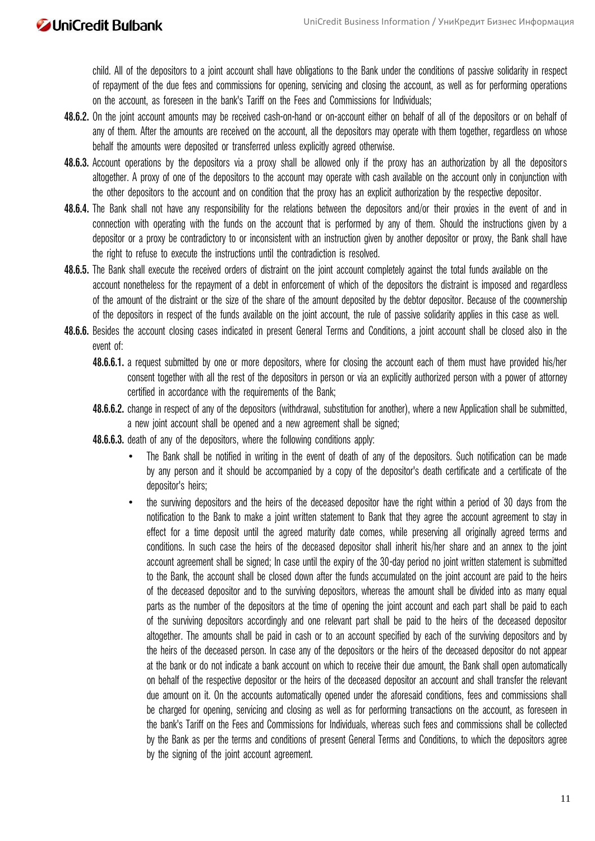child. All of the depositors to a joint account shall have obligations to the Bank under the conditions of passive solidarity in respect of repayment of the due fees and commissions for opening, servicing and closing the account, as well as for performing operations on the account, as foreseen in the bank's Tariff on the Fees and Commissions for Individuals;

- **48.6.2.** On the joint account amounts may be received cash-on-hand or on-account either on behalf of all of the depositors or on behalf of any of them. After the amounts are received on the account, all the depositors may operate with them together, regardless on whose behalf the amounts were deposited or transferred unless explicitly agreed otherwise.
- **48.6.3.** Account operations by the depositors via a proxy shall be allowed only if the proxy has an authorization by all the depositors altogether. A proxy of one of the depositors to the account may operate with cash available on the account only in conjunction with the other depositors to the account and on condition that the proxy has an explicit authorization by the respective depositor.
- **48.6.4.** The Bank shall not have any responsibility for the relations between the depositors and/or their proxies in the event of and in connection with operating with the funds on the account that is performed by any of them. Should the instructions given by a depositor or a proxy be contradictory to or inconsistent with an instruction given by another depositor or proxy, the Bank shall have the right to refuse to execute the instructions until the contradiction is resolved.
- **48.6.5.** The Bank shall execute the received orders of distraint on the joint account completely against the total funds available on the account nonetheless for the repayment of a debt in enforcement of which of the depositors the distraint is imposed and regardless of the amount of the distraint or the size of the share of the amount deposited by the debtor depositor. Because of the coownership of the depositors in respect of the funds available on the joint account, the rule of passive solidarity applies in this case as well.
- **48.6.6.** Besides the account closing cases indicated in present General Terms and Conditions, a joint account shall be closed also in the event of:
	- **48.6.6.1.** a request submitted by one or more depositors, where for closing the account each of them must have provided his/her consent together with all the rest of the depositors in person or via an explicitly authorized person with a power of attorney certified in accordance with the requirements of the Bank;
	- **48.6.6.2.** change in respect of any of the depositors (withdrawal, substitution for another), where a new Application shall be submitted, a new joint account shall be opened and a new agreement shall be signed;
	- **48.6.6.3.** death of any of the depositors, where the following conditions apply:
		- The Bank shall be notified in writing in the event of death of any of the depositors. Such notification can be made by any person and it should be accompanied by a copy of the depositor's death certificate and a certificate of the depositor's heirs;
		- the surviving depositors and the heirs of the deceased depositor have the right within a period of 30 days from the notification to the Bank to make a joint written statement to Bank that they agree the account agreement to stay in effect for a time deposit until the agreed maturity date comes, while preserving all originally agreed terms and conditions. In such case the heirs of the deceased depositor shall inherit his/her share and an annex to the joint account agreement shall be signed; In case until the expiry of the 30-day period no joint written statement is submitted to the Bank, the account shall be closed down after the funds accumulated on the joint account are paid to the heirs of the deceased depositor and to the surviving depositors, whereas the amount shall be divided into as many equal parts as the number of the depositors at the time of opening the joint account and each part shall be paid to each of the surviving depositors accordingly and one relevant part shall be paid to the heirs of the deceased depositor altogether. The amounts shall be paid in cash or to an account specified by each of the surviving depositors and by the heirs of the deceased person. In case any of the depositors or the heirs of the deceased depositor do not appear at the bank or do not indicate a bank account on which to receive their due amount, the Bank shall open automatically on behalf of the respective depositor or the heirs of the deceased depositor an account and shall transfer the relevant due amount on it. On the accounts automatically opened under the aforesaid conditions, fees and commissions shall be charged for opening, servicing and closing as well as for performing transactions on the account, as foreseen in the bank's Tariff on the Fees and Commissions for Individuals, whereas such fees and commissions shall be collected by the Bank as per the terms and conditions of present General Terms and Conditions, to which the depositors agree by the signing of the joint account agreement.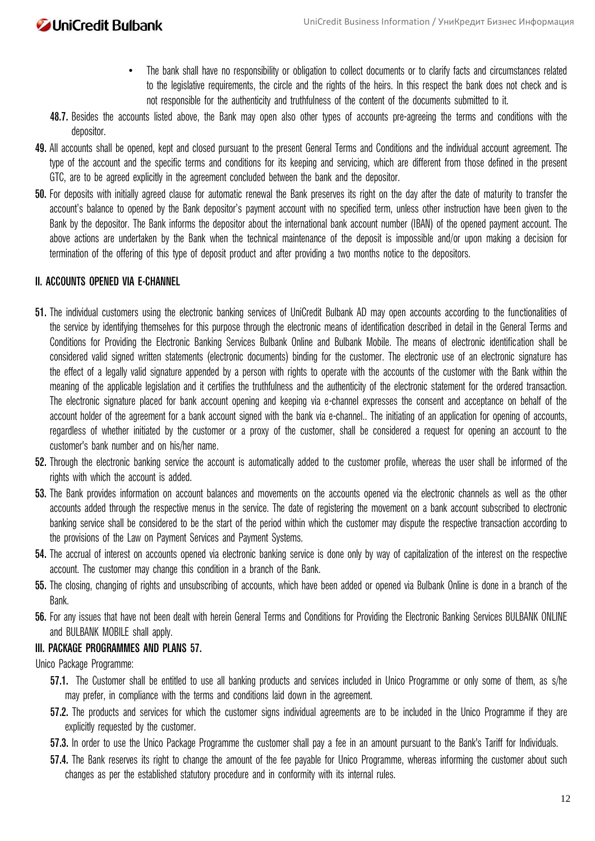- The bank shall have no responsibility or obligation to collect documents or to clarify facts and circumstances related to the legislative requirements, the circle and the rights of the heirs. In this respect the bank does not check and is not responsible for the authenticity and truthfulness of the content of the documents submitted to it.
- **48.7.** Besides the accounts listed above, the Bank may open also other types of accounts pre-agreeing the terms and conditions with the depositor.
- **49.** All accounts shall be opened, kept and closed pursuant to the present General Terms and Conditions and the individual account agreement. The type of the account and the specific terms and conditions for its keeping and servicing, which are different from those defined in the present GTC, are to be agreed explicitly in the agreement concluded between the bank and the depositor.
- **50.** For deposits with initially agreed clause for automatic renewal the Bank preserves its right on the day after the date of maturity to transfer the account's balance to opened by the Bank depositor's payment account with no specified term, unless other instruction have been given to the Bank by the depositor. The Bank informs the depositor about the international bank account number (IBAN) of the opened payment account. The above actions are undertaken by the Bank when the technical maintenance of the deposit is impossible and/or upon making a decision for termination of the offering of this type of deposit product and after providing a two months notice to the depositors.

### **II. ACCOUNTS OPENED VIA E-CHANNEL**

- **51.** The individual customers using the electronic banking services of UniCredit Bulbank AD may open accounts according to the functionalities of the service by identifying themselves for this purpose through the electronic means of identification described in detail in the General Terms and Conditions for Providing the Electronic Banking Services Bulbank Online and Bulbank Mobile. The means of electronic identification shall be considered valid signed written statements (electronic documents) binding for the customer. The electronic use of an electronic signature has the effect of a legally valid signature appended by a person with rights to operate with the accounts of the customer with the Bank within the meaning of the applicable legislation and it certifies the truthfulness and the authenticity of the electronic statement for the ordered transaction. The electronic signature placed for bank account opening and keeping via e-channel expresses the consent and acceptance on behalf of the account holder of the agreement for a bank account signed with the bank via e-channel.. The initiating of an application for opening of accounts, regardless of whether initiated by the customer or a proxy of the customer, shall be considered a request for opening an account to the customer's bank number and on his/her name.
- **52.** Through the electronic banking service the account is automatically added to the customer profile, whereas the user shall be informed of the rights with which the account is added.
- **53.** The Bank provides information on account balances and movements on the accounts opened via the electronic channels as well as the other accounts added through the respective menus in the service. The date of registering the movement on a bank account subscribed to electronic banking service shall be considered to be the start of the period within which the customer may dispute the respective transaction according to the provisions of the Law on Payment Services and Payment Systems.
- **54.** The accrual of interest on accounts opened via electronic banking service is done only by way of capitalization of the interest on the respective account. The customer may change this condition in a branch of the Bank.
- **55.** The closing, changing of rights and unsubscribing of accounts, which have been added or opened via Bulbank Online is done in a branch of the Bank.
- **56.** For any issues that have not been dealt with herein General Terms and Conditions for Providing the Electronic Banking Services BULBANK ONLINE and BULBANK MOBILE shall apply.

### **III. PACKAGE PROGRAMMES AND PLANS 57.**

Unico Package Programme:

- **57.1.** The Customer shall be entitled to use all banking products and services included in Unico Programme or only some of them, as s/he may prefer, in compliance with the terms and conditions laid down in the agreement.
- **57.2.** The products and services for which the customer signs individual agreements are to be included in the Unico Programme if they are explicitly requested by the customer.
- **57.3.** In order to use the Unico Package Programme the customer shall pay a fee in an amount pursuant to the Bank's Tariff for Individuals.
- **57.4.** The Bank reserves its right to change the amount of the fee payable for Unico Programme, whereas informing the customer about such changes as per the established statutory procedure and in conformity with its internal rules.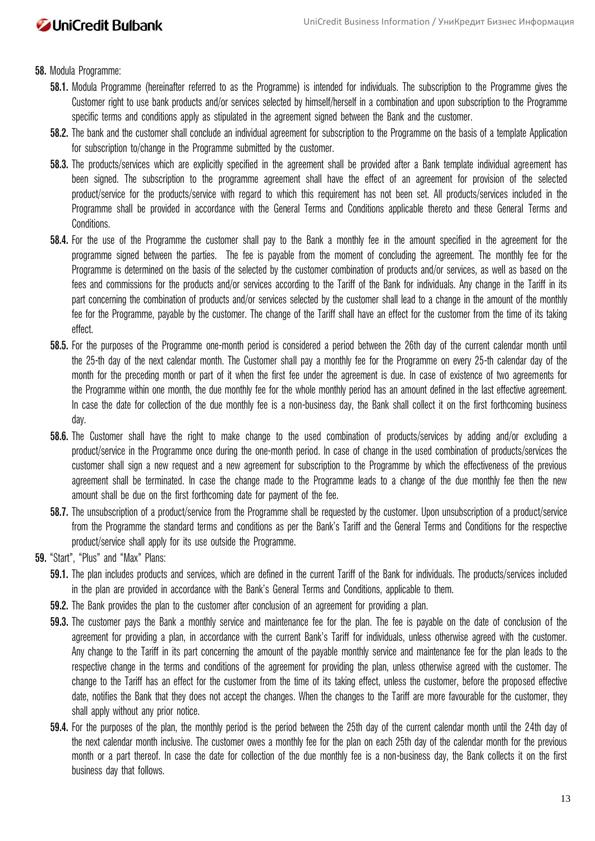**58.** Modula Programme:

- **58.1.** Modula Programme (hereinafter referred to as the Programme) is intended for individuals. The subscription to the Programme gives the Customer right to use bank products and/or services selected by himself/herself in a combination and upon subscription to the Programme specific terms and conditions apply as stipulated in the agreement signed between the Bank and the customer.
- **58.2.** The bank and the customer shall conclude an individual agreement for subscription to the Programme on the basis of a template Application for subscription to/change in the Programme submitted by the customer.
- **58.3.** The products/services which are explicitly specified in the agreement shall be provided after a Bank template individual agreement has been signed. The subscription to the programme agreement shall have the effect of an agreement for provision of the selected product/service for the products/service with regard to which this requirement has not been set. All products/services included in the Programme shall be provided in accordance with the General Terms and Conditions applicable thereto and these General Terms and Conditions.
- **58.4.** For the use of the Programme the customer shall pay to the Bank a monthly fee in the amount specified in the agreement for the programme signed between the parties. The fee is payable from the moment of concluding the agreement. The monthly fee for the Programme is determined on the basis of the selected by the customer combination of products and/or services, as well as based on the fees and commissions for the products and/or services according to the Tariff of the Bank for individuals. Any change in the Tariff in its part concerning the combination of products and/or services selected by the customer shall lead to a change in the amount of the monthly fee for the Programme, payable by the customer. The change of the Tariff shall have an effect for the customer from the time of its taking effect.
- **58.5.** For the purposes of the Programme one-month period is considered a period between the 26th day of the current calendar month until the 25-th day of the next calendar month. The Customer shall pay a monthly fee for the Programme on every 25-th calendar day of the month for the preceding month or part of it when the first fee under the agreement is due. In case of existence of two agreements for the Programme within one month, the due monthly fee for the whole monthly period has an amount defined in the last effective agreement. In case the date for collection of the due monthly fee is a non-business day, the Bank shall collect it on the first forthcoming business day.
- **58.6.** The Customer shall have the right to make change to the used combination of products/services by adding and/or excluding a product/service in the Programme once during the one-month period. In case of change in the used combination of products/services the customer shall sign a new request and a new agreement for subscription to the Programme by which the effectiveness of the previous agreement shall be terminated. In case the change made to the Programme leads to a change of the due monthly fee then the new amount shall be due on the first forthcoming date for payment of the fee.
- **58.7.** The unsubscription of a product/service from the Programme shall be requested by the customer. Upon unsubscription of a product/service from the Programme the standard terms and conditions as per the Bank's Tariff and the General Terms and Conditions for the respective product/service shall apply for its use outside the Programme.
- **59.** "Start", "Plus" and "Max" Plans:
	- **59.1.** The plan includes products and services, which are defined in the current Tariff of the Bank for individuals. The products/services included in the plan are provided in accordance with the Bank's General Terms and Conditions, applicable to them.
	- **59.2.** The Bank provides the plan to the customer after conclusion of an agreement for providing a plan.
	- **59.3.** The customer pays the Bank a monthly service and maintenance fee for the plan. The fee is payable on the date of conclusion of the agreement for providing a plan, in accordance with the current Bank's Tariff for individuals, unless otherwise agreed with the customer. Any change to the Tariff in its part concerning the amount of the payable monthly service and maintenance fee for the plan leads to the respective change in the terms and conditions of the agreement for providing the plan, unless otherwise agreed with the customer. The change to the Tariff has an effect for the customer from the time of its taking effect, unless the customer, before the proposed effective date, notifies the Bank that they does not accept the changes. When the changes to the Tariff are more favourable for the customer, they shall apply without any prior notice.
	- **59.4.** For the purposes of the plan, the monthly period is the period between the 25th day of the current calendar month until the 24th day of the next calendar month inclusive. The customer owes a monthly fee for the plan on each 25th day of the calendar month for the previous month or a part thereof. In case the date for collection of the due monthly fee is a non-business day, the Bank collects it on the first business day that follows.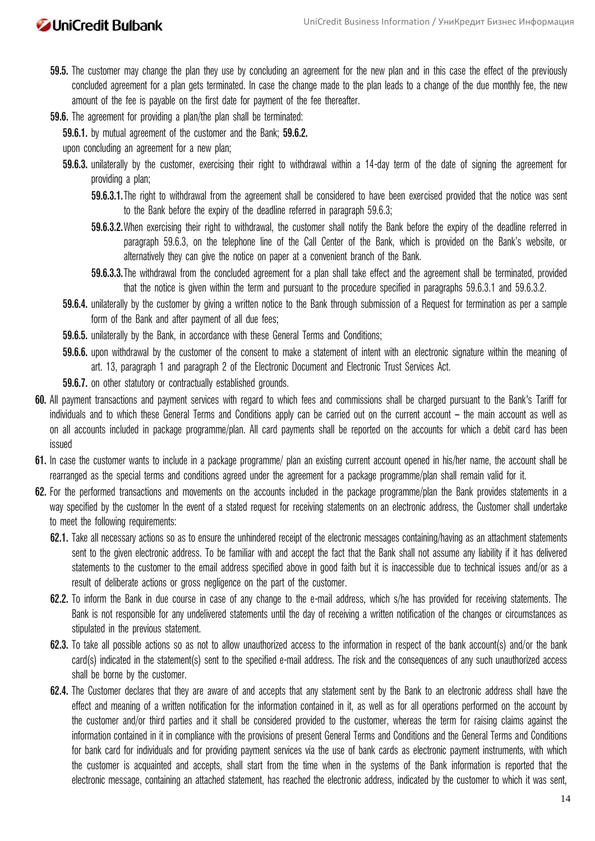- **59.5.** The customer may change the plan they use by concluding an agreement for the new plan and in this case the effect of the previously concluded agreement for a plan gets terminated. In case the change made to the plan leads to a change of the due monthly fee, the new amount of the fee is payable on the first date for payment of the fee thereafter.
- **59.6.** The agreement for providing a plan/the plan shall be terminated:

**59.6.1.** by mutual agreement of the customer and the Bank; **59.6.2.**

upon concluding an agreement for a new plan;

- **59.6.3.** unilaterally by the customer, exercising their right to withdrawal within a 14-day term of the date of signing the agreement for providing a plan;
	- **59.6.3.1.**The right to withdrawal from the agreement shall be considered to have been exercised provided that the notice was sent to the Bank before the expiry of the deadline referred in paragraph 59.6.3;
	- **59.6.3.2.**When exercising their right to withdrawal, the customer shall notify the Bank before the expiry of the deadline referred in paragraph 59.6.3, on the telephone line of the Call Center of the Bank, which is provided on the Bank's website, or alternatively they can give the notice on paper at a convenient branch of the Bank.
	- **59.6.3.3.**The withdrawal from the concluded agreement for a plan shall take effect and the agreement shall be terminated, provided that the notice is given within the term and pursuant to the procedure specified in paragraphs 59.6.3.1 and 59.6.3.2.
- **59.6.4.** unilaterally by the customer by giving a written notice to the Bank through submission of a Request for termination as per a sample form of the Bank and after payment of all due fees;
- **59.6.5.** unilaterally by the Bank, in accordance with these General Terms and Conditions;
- **59.6.6.** upon withdrawal by the customer of the consent to make a statement of intent with an electronic signature within the meaning of art. 13, paragraph 1 and paragraph 2 of the Electronic Document and Electronic Trust Services Act.
- **59.6.7.** on other statutory or contractually established grounds.
- **60.** All payment transactions and payment services with regard to which fees and commissions shall be charged pursuant to the Bank's Tariff for individuals and to which these General Terms and Conditions apply can be carried out on the current account – the main account as well as on all accounts included in package programme/plan. All card payments shall be reported on the accounts for which a debit card has been issued
- **61.** In case the customer wants to include in a package programme/ plan an existing current account opened in his/her name, the account shall be rearranged as the special terms and conditions agreed under the agreement for a package programme/plan shall remain valid for it.
- **62.** For the performed transactions and movements on the accounts included in the package programme/plan the Bank provides statements in a way specified by the customer In the event of a stated request for receiving statements on an electronic address, the Customer shall undertake to meet the following requirements:
	- **62.1.** Take all necessary actions so as to ensure the unhindered receipt of the electronic messages containing/having as an attachment statements sent to the given electronic address. To be familiar with and accept the fact that the Bank shall not assume any liability if it has delivered statements to the customer to the email address specified above in good faith but it is inaccessible due to technical issues and/or as a result of deliberate actions or gross negligence on the part of the customer.
	- **62.2.** To inform the Bank in due course in case of any change to the e-mail address, which s/he has provided for receiving statements. The Bank is not responsible for any undelivered statements until the day of receiving a written notification of the changes or circumstances as stipulated in the previous statement.
	- **62.3.** To take all possible actions so as not to allow unauthorized access to the information in respect of the bank account(s) and/or the bank card(s) indicated in the statement(s) sent to the specified e-mail address. The risk and the consequences of any such unauthorized access shall be borne by the customer.
	- **62.4.** The Customer declares that they are aware of and accepts that any statement sent by the Bank to an electronic address shall have the effect and meaning of a written notification for the information contained in it, as well as for all operations performed on the account by the customer and/or third parties and it shall be considered provided to the customer, whereas the term for raising claims against the information contained in it in compliance with the provisions of present General Terms and Conditions and the General Terms and Conditions for bank card for individuals and for providing payment services via the use of bank cards as electronic payment instruments, with which the customer is acquainted and accepts, shall start from the time when in the systems of the Bank information is reported that the electronic message, containing an attached statement, has reached the electronic address, indicated by the customer to which it was sent,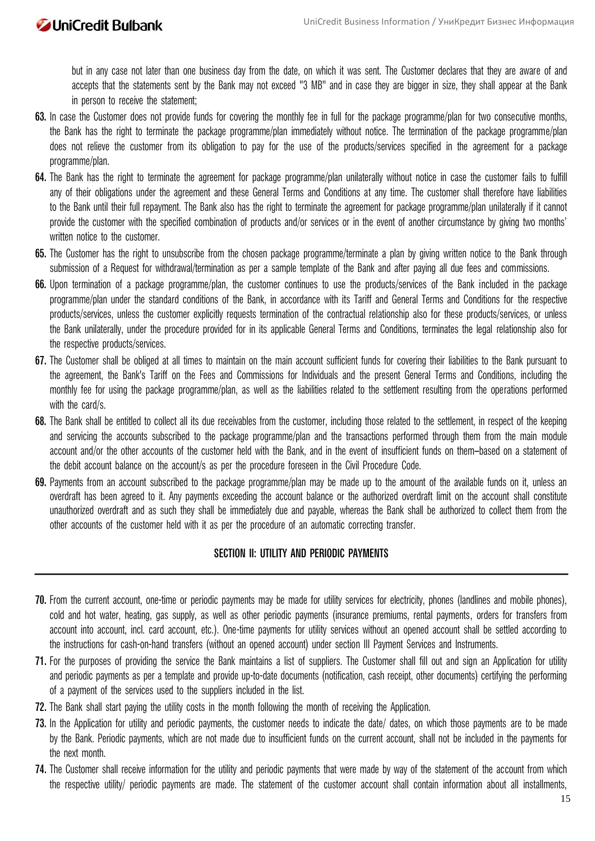but in any case not later than one business day from the date, on which it was sent. The Customer declares that they are aware of and accepts that the statements sent by the Bank may not exceed "3 MB" and in case they are bigger in size, they shall appear at the Bank in person to receive the statement;

- **63.** In case the Customer does not provide funds for covering the monthly fee in full for the package programme/plan for two consecutive months, the Bank has the right to terminate the package programme/plan immediately without notice. The termination of the package programme/plan does not relieve the customer from its obligation to pay for the use of the products/services specified in the agreement for a package programme/plan.
- **64.** The Bank has the right to terminate the agreement for package programme/plan unilaterally without notice in case the customer fails to fulfill any of their obligations under the agreement and these General Terms and Conditions at any time. The customer shall therefore have liabilities to the Bank until their full repayment. The Bank also has the right to terminate the agreement for package programme/plan unilaterally if it cannot provide the customer with the specified combination of products and/or services or in the event of another circumstance by giving two months' written notice to the customer.
- **65.** The Customer has the right to unsubscribe from the chosen package programme/terminate a plan by giving written notice to the Bank through submission of a Request for withdrawal/termination as per a sample template of the Bank and after paying all due fees and commissions.
- **66.** Upon termination of a package programme/plan, the customer continues to use the products/services of the Bank included in the package programme/plan under the standard conditions of the Bank, in accordance with its Tariff and General Terms and Conditions for the respective products/services, unless the customer explicitly requests termination of the contractual relationship also for these products/services, or unless the Bank unilaterally, under the procedure provided for in its applicable General Terms and Conditions, terminates the legal relationship also for the respective products/services.
- **67.** The Customer shall be obliged at all times to maintain on the main account sufficient funds for covering their liabilities to the Bank pursuant to the agreement, the Bank's Tariff on the Fees and Commissions for Individuals and the present General Terms and Conditions, including the monthly fee for using the package programme/plan, as well as the liabilities related to the settlement resulting from the operations performed with the card/s.
- **68.** The Bank shall be entitled to collect all its due receivables from the customer, including those related to the settlement, in respect of the keeping and servicing the accounts subscribed to the package programme/plan and the transactions performed through them from the main module account and/or the other accounts of the customer held with the Bank, and in the event of insufficient funds on them–based on a statement of the debit account balance on the account/s as per the procedure foreseen in the Civil Procedure Code.
- **69.** Payments from an account subscribed to the package programme/plan may be made up to the amount of the available funds on it, unless an overdraft has been agreed to it. Any payments exceeding the account balance or the authorized overdraft limit on the account shall constitute unauthorized overdraft and as such they shall be immediately due and payable, whereas the Bank shall be authorized to collect them from the other accounts of the customer held with it as per the procedure of an automatic correcting transfer.

### **SECTION II: UTILITY AND PERIODIC PAYMENTS**

- **70.** From the current account, one-time or periodic payments may be made for utility services for electricity, phones (landlines and mobile phones), cold and hot water, heating, gas supply, as well as other periodic payments (insurance premiums, rental payments, orders for transfers from account into account, incl. card account, etc.). One-time payments for utility services without an opened account shall be settled according to the instructions for cash-on-hand transfers (without an opened account) under section III Payment Services and Instruments.
- **71.** For the purposes of providing the service the Bank maintains a list of suppliers. The Customer shall fill out and sign an Application for utility and periodic payments as per a template and provide up-to-date documents (notification, cash receipt, other documents) certifying the performing of a payment of the services used to the suppliers included in the list.
- **72.** The Bank shall start paying the utility costs in the month following the month of receiving the Application.
- **73.** In the Application for utility and periodic payments, the customer needs to indicate the date/ dates, on which those payments are to be made by the Bank. Periodic payments, which are not made due to insufficient funds on the current account, shall not be included in the payments for the next month.
- **74.** The Customer shall receive information for the utility and periodic payments that were made by way of the statement of the account from which the respective utility/ periodic payments are made. The statement of the customer account shall contain information about all installments,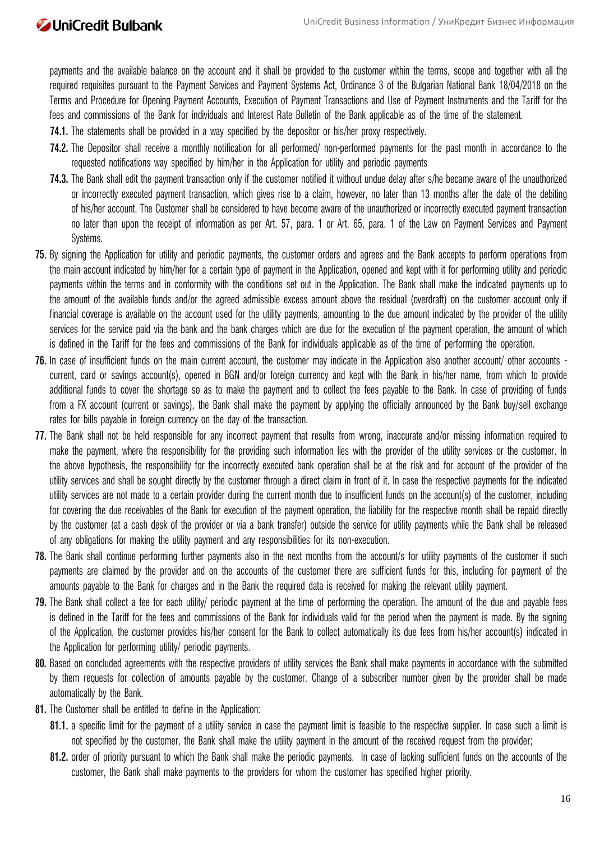payments and the available balance on the account and it shall be provided to the customer within the terms, scope and together with all the required requisites pursuant to the Payment Services and Payment Systems Act, Ordinance 3 of the Bulgarian National Bank 18/04/2018 on the Terms and Procedure for Opening Payment Accounts, Execution of Payment Transactions and Use of Payment Instruments and the Tariff for the fees and commissions of the Bank for individuals and Interest Rate Bulletin of the Bank applicable as of the time of the statement.

**74.1.** The statements shall be provided in a way specified by the depositor or his/her proxy respectively.

- **74.2.** The Depositor shall receive a monthly notification for all performed/ non-performed payments for the past month in accordance to the requested notifications way specified by him/her in the Application for utility and periodic payments
- **74.3.** The Bank shall edit the payment transaction only if the customer notified it without undue delay after s/he became aware of the unauthorized or incorrectly executed payment transaction, which gives rise to a claim, however, no later than 13 months after the date of the debiting of his/her account. The Customer shall be considered to have become aware of the unauthorized or incorrectly executed payment transaction no later than upon the receipt of information as per Art. 57, para. 1 or Art. 65, para. 1 of the Law on Payment Services and Payment Systems.
- **75.** By signing the Application for utility and periodic payments, the customer orders and agrees and the Bank accepts to perform operations from the main account indicated by him/her for a certain type of payment in the Application, opened and kept with it for performing utility and periodic payments within the terms and in conformity with the conditions set out in the Application. The Bank shall make the indicated payments up to the amount of the available funds and/or the agreed admissible excess amount above the residual (overdraft) on the customer account only if financial coverage is available on the account used for the utility payments, amounting to the due amount indicated by the provider of the utility services for the service paid via the bank and the bank charges which are due for the execution of the payment operation, the amount of which is defined in the Tariff for the fees and commissions of the Bank for individuals applicable as of the time of performing the operation.
- **76.** In case of insufficient funds on the main current account, the customer may indicate in the Application also another account/ other accounts current, card or savings account(s), opened in BGN and/or foreign currency and kept with the Bank in his/her name, from which to provide additional funds to cover the shortage so as to make the payment and to collect the fees payable to the Bank. In case of providing of funds from a FX account (current or savings), the Bank shall make the payment by applying the officially announced by the Bank buy/sell exchange rates for bills payable in foreign currency on the day of the transaction.
- **77.** The Bank shall not be held responsible for any incorrect payment that results from wrong, inaccurate and/or missing information required to make the payment, where the responsibility for the providing such information lies with the provider of the utility services or the customer. In the above hypothesis, the responsibility for the incorrectly executed bank operation shall be at the risk and for account of the provider of the utility services and shall be sought directly by the customer through a direct claim in front of it. In case the respective payments for the indicated utility services are not made to a certain provider during the current month due to insufficient funds on the account(s) of the customer, including for covering the due receivables of the Bank for execution of the payment operation, the liability for the respective month shall be repaid directly by the customer (at a cash desk of the provider or via a bank transfer) outside the service for utility payments while the Bank shall be released of any obligations for making the utility payment and any responsibilities for its non-execution.
- **78.** The Bank shall continue performing further payments also in the next months from the account/s for utility payments of the customer if such payments are claimed by the provider and on the accounts of the customer there are sufficient funds for this, including for payment of the amounts payable to the Bank for charges and in the Bank the required data is received for making the relevant utility payment.
- **79.** The Bank shall collect a fee for each utility/ periodic payment at the time of performing the operation. The amount of the due and payable fees is defined in the Tariff for the fees and commissions of the Bank for individuals valid for the period when the payment is made. By the signing of the Application, the customer provides his/her consent for the Bank to collect automatically its due fees from his/her account(s) indicated in the Application for performing utility/ periodic payments.
- **80.** Based on concluded agreements with the respective providers of utility services the Bank shall make payments in accordance with the submitted by them requests for collection of amounts payable by the customer. Change of a subscriber number given by the provider shall be made automatically by the Bank.
- **81.** The Customer shall be entitled to define in the Application:
	- **81.1.** a specific limit for the payment of a utility service in case the payment limit is feasible to the respective supplier. In case such a limit is not specified by the customer, the Bank shall make the utility payment in the amount of the received request from the provider;
	- **81.2.** order of priority pursuant to which the Bank shall make the periodic payments. In case of lacking sufficient funds on the accounts of the customer, the Bank shall make payments to the providers for whom the customer has specified higher priority.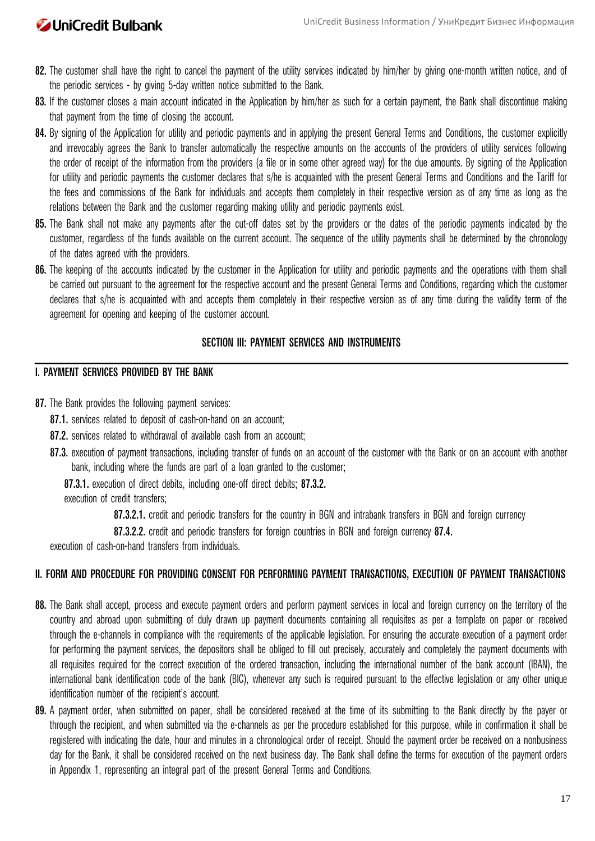- **82.** The customer shall have the right to cancel the payment of the utility services indicated by him/her by giving one-month written notice, and of the periodic services - by giving 5-day written notice submitted to the Bank.
- **83.** If the customer closes a main account indicated in the Application by him/her as such for a certain payment, the Bank shall discontinue making that payment from the time of closing the account.
- **84.** By signing of the Application for utility and periodic payments and in applying the present General Terms and Conditions, the customer explicitly and irrevocably agrees the Bank to transfer automatically the respective amounts on the accounts of the providers of utility services following the order of receipt of the information from the providers (a file or in some other agreed way) for the due amounts. By signing of the Application for utility and periodic payments the customer declares that s/he is acquainted with the present General Terms and Conditions and the Tariff for the fees and commissions of the Bank for individuals and accepts them completely in their respective version as of any time as long as the relations between the Bank and the customer regarding making utility and periodic payments exist.
- **85.** The Bank shall not make any payments after the cut-off dates set by the providers or the dates of the periodic payments indicated by the customer, regardless of the funds available on the current account. The sequence of the utility payments shall be determined by the chronology of the dates agreed with the providers.
- **86.** The keeping of the accounts indicated by the customer in the Application for utility and periodic payments and the operations with them shall be carried out pursuant to the agreement for the respective account and the present General Terms and Conditions, regarding which the customer declares that s/he is acquainted with and accepts them completely in their respective version as of any time during the validity term of the agreement for opening and keeping of the customer account.

### **SECTION III: PAYMENT SERVICES AND INSTRUMENTS**

### **I. PAYMENT SERVICES PROVIDED BY THE BANK**

- **87.** The Bank provides the following payment services:
	- **87.1.** services related to deposit of cash-on-hand on an account;
	- **87.2.** services related to withdrawal of available cash from an account;
	- **87.3.** execution of payment transactions, including transfer of funds on an account of the customer with the Bank or on an account with another bank, including where the funds are part of a loan granted to the customer;

**87.3.1.** execution of direct debits, including one-off direct debits; **87.3.2.**

execution of credit transfers;

**87.3.2.1.** credit and periodic transfers for the country in BGN and intrabank transfers in BGN and foreign currency

**87.3.2.2.** credit and periodic transfers for foreign countries in BGN and foreign currency **87.4.**

execution of cash-on-hand transfers from individuals.

### **II. FORM AND PROCEDURE FOR PROVIDING CONSENT FOR PERFORMING PAYMENT TRANSACTIONS, EXECUTION OF PAYMENT TRANSACTIONS**

- **88.** The Bank shall accept, process and execute payment orders and perform payment services in local and foreign currency on the territory of the country and abroad upon submitting of duly drawn up payment documents containing all requisites as per a template on paper or received through the e-channels in compliance with the requirements of the applicable legislation. For ensuring the accurate execution of a payment order for performing the payment services, the depositors shall be obliged to fill out precisely, accurately and completely the payment documents with all requisites required for the correct execution of the ordered transaction, including the international number of the bank account (IBAN), the international bank identification code of the bank (BIC), whenever any such is required pursuant to the effective legislation or any other unique identification number of the recipient's account.
- **89.** A payment order, when submitted on paper, shall be considered received at the time of its submitting to the Bank directly by the payer or through the recipient, and when submitted via the e-channels as per the procedure established for this purpose, while in confirmation it shall be registered with indicating the date, hour and minutes in a chronological order of receipt. Should the payment order be received on a nonbusiness day for the Bank, it shall be considered received on the next business day. The Bank shall define the terms for execution of the payment orders in Appendix 1, representing an integral part of the present General Terms and Conditions.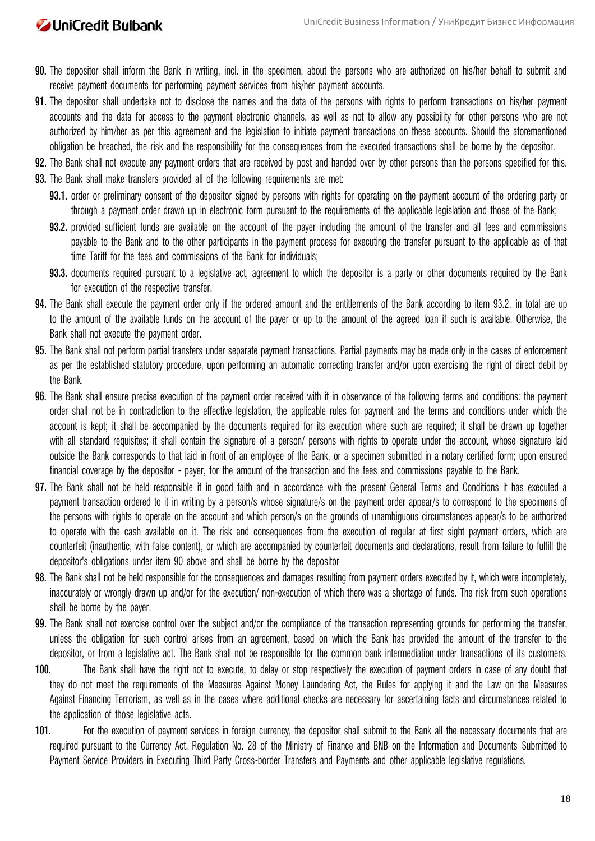- **90.** The depositor shall inform the Bank in writing, incl. in the specimen, about the persons who are authorized on his/her behalf to submit and receive payment documents for performing payment services from his/her payment accounts.
- **91.** The depositor shall undertake not to disclose the names and the data of the persons with rights to perform transactions on his/her payment accounts and the data for access to the payment electronic channels, as well as not to allow any possibility for other persons who are not authorized by him/her as per this agreement and the legislation to initiate payment transactions on these accounts. Should the aforementioned obligation be breached, the risk and the responsibility for the consequences from the executed transactions shall be borne by the depositor.
- **92.** The Bank shall not execute any payment orders that are received by post and handed over by other persons than the persons specified for this.
- **93.** The Bank shall make transfers provided all of the following requirements are met:
	- **93.1.** order or preliminary consent of the depositor signed by persons with rights for operating on the payment account of the ordering party or through a payment order drawn up in electronic form pursuant to the requirements of the applicable legislation and those of the Bank;
	- **93.2.** provided sufficient funds are available on the account of the payer including the amount of the transfer and all fees and commissions payable to the Bank and to the other participants in the payment process for executing the transfer pursuant to the applicable as of that time Tariff for the fees and commissions of the Bank for individuals;
	- **93.3.** documents required pursuant to a legislative act, agreement to which the depositor is a party or other documents required by the Bank for execution of the respective transfer.
- **94.** The Bank shall execute the payment order only if the ordered amount and the entitlements of the Bank according to item 93.2. in total are up to the amount of the available funds on the account of the payer or up to the amount of the agreed loan if such is available. Otherwise, the Bank shall not execute the payment order.
- **95.** The Bank shall not perform partial transfers under separate payment transactions. Partial payments may be made only in the cases of enforcement as per the established statutory procedure, upon performing an automatic correcting transfer and/or upon exercising the right of direct debit by the Bank.
- **96.** The Bank shall ensure precise execution of the payment order received with it in observance of the following terms and conditions: the payment order shall not be in contradiction to the effective legislation, the applicable rules for payment and the terms and conditions under which the account is kept; it shall be accompanied by the documents required for its execution where such are required; it shall be drawn up together with all standard requisites; it shall contain the signature of a person/ persons with rights to operate under the account, whose signature laid outside the Bank corresponds to that laid in front of an employee of the Bank, or a specimen submitted in a notary certified form; upon ensured financial coverage by the depositor - payer, for the amount of the transaction and the fees and commissions payable to the Bank.
- **97.** The Bank shall not be held responsible if in good faith and in accordance with the present General Terms and Conditions it has executed a payment transaction ordered to it in writing by a person/s whose signature/s on the payment order appear/s to correspond to the specimens of the persons with rights to operate on the account and which person/s on the grounds of unambiguous circumstances appear/s to be authorized to operate with the cash available on it. The risk and consequences from the execution of regular at first sight payment orders, which are counterfeit (inauthentic, with false content), or which are accompanied by counterfeit documents and declarations, result from failure to fulfill the depositor's obligations under item 90 above and shall be borne by the depositor
- **98.** The Bank shall not be held responsible for the consequences and damages resulting from payment orders executed by it, which were incompletely, inaccurately or wrongly drawn up and/or for the execution/ non-execution of which there was a shortage of funds. The risk from such operations shall be borne by the payer.
- **99.** The Bank shall not exercise control over the subject and/or the compliance of the transaction representing grounds for performing the transfer, unless the obligation for such control arises from an agreement, based on which the Bank has provided the amount of the transfer to the depositor, or from a legislative act. The Bank shall not be responsible for the common bank intermediation under transactions of its customers.
- **100.** The Bank shall have the right not to execute, to delay or stop respectively the execution of payment orders in case of any doubt that they do not meet the requirements of the Measures Against Money Laundering Act, the Rules for applying it and the Law on the Measures Against Financing Terrorism, as well as in the cases where additional checks are necessary for ascertaining facts and circumstances related to the application of those legislative acts.
- **101.** For the execution of payment services in foreign currency, the depositor shall submit to the Bank all the necessary documents that are required pursuant to the Currency Act, Regulation No. 28 of the Ministry of Finance and BNB on the Information and Documents Submitted to Payment Service Providers in Executing Third Party Cross-border Transfers and Payments and other applicable legislative regulations.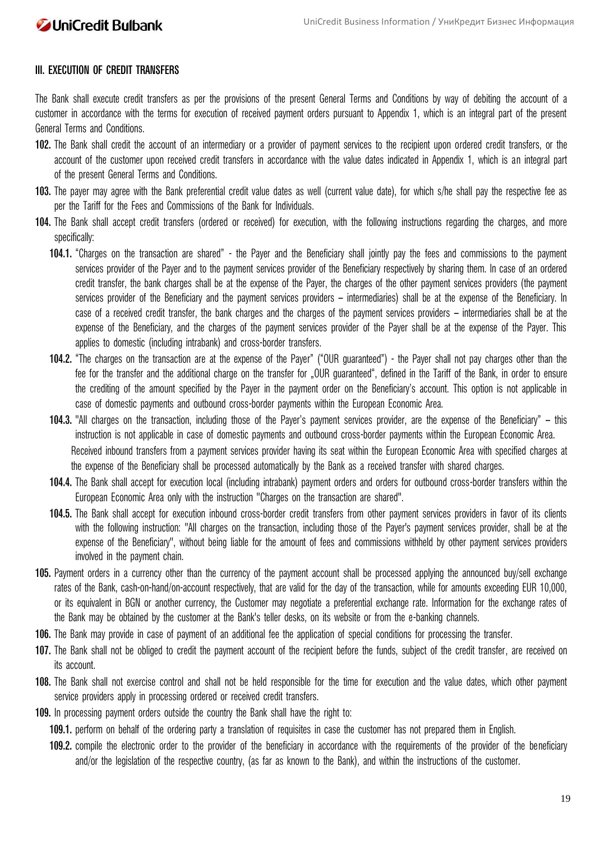### **III. EXECUTION OF CREDIT TRANSFERS**

The Bank shall execute credit transfers as per the provisions of the present General Terms and Conditions by way of debiting the account of a customer in accordance with the terms for execution of received payment orders pursuant to Appendix 1, which is an integral part of the present General Terms and Conditions.

- **102.** The Bank shall credit the account of an intermediary or a provider of payment services to the recipient upon ordered credit transfers, or the account of the customer upon received credit transfers in accordance with the value dates indicated in Appendix 1, which is an integral part of the present General Terms and Conditions.
- **103.** The payer may agree with the Bank preferential credit value dates as well (current value date), for which s/he shall pay the respective fee as per the Tariff for the Fees and Commissions of the Bank for Individuals.
- **104.** The Bank shall accept credit transfers (ordered or received) for execution, with the following instructions regarding the charges, and more specifically:
	- **104.1.** "Charges on the transaction are shared" the Payer and the Beneficiary shall jointly pay the fees and commissions to the payment services provider of the Payer and to the payment services provider of the Beneficiary respectively by sharing them. In case of an ordered credit transfer, the bank charges shall be at the expense of the Payer, the charges of the other payment services providers (the payment services provider of the Beneficiary and the payment services providers – intermediaries) shall be at the expense of the Beneficiary. In case of a received credit transfer, the bank charges and the charges of the payment services providers – intermediaries shall be at the expense of the Beneficiary, and the charges of the payment services provider of the Payer shall be at the expense of the Payer. This applies to domestic (including intrabank) and cross-border transfers.
	- **104.2.** "The charges on the transaction are at the expense of the Payer" ("OUR guaranteed") the Payer shall not pay charges other than the fee for the transfer and the additional charge on the transfer for "OUR guaranteed", defined in the Tariff of the Bank, in order to ensure the crediting of the amount specified by the Payer in the payment order on the Beneficiary's account. This option is not applicable in case of domestic payments and outbound cross-border payments within the European Economic Area.
	- **104.3.** "All charges on the transaction, including those of the Payer's payment services provider, are the expense of the Beneficiary" this instruction is not applicable in case of domestic payments and outbound cross-border payments within the European Economic Area. Received inbound transfers from a payment services provider having its seat within the European Economic Area with specified charges at the expense of the Beneficiary shall be processed automatically by the Bank as a received transfer with shared charges.
	- **104.4.** The Bank shall accept for execution local (including intrabank) payment orders and orders for outbound cross-border transfers within the European Economic Area only with the instruction "Charges on the transaction are shared".
	- **104.5.** The Bank shall accept for execution inbound cross-border credit transfers from other payment services providers in favor of its clients with the following instruction: "All charges on the transaction, including those of the Payer's payment services provider, shall be at the expense of the Beneficiary", without being liable for the amount of fees and commissions withheld by other payment services providers involved in the payment chain.
- **105.** Payment orders in a currency other than the currency of the payment account shall be processed applying the announced buy/sell exchange rates of the Bank, cash-on-hand/on-account respectively, that are valid for the day of the transaction, while for amounts exceeding EUR 10,000, or its equivalent in BGN or another currency, the Customer may negotiate a preferential exchange rate. Information for the exchange rates of the Bank may be obtained by the customer at the Bank's teller desks, on its website or from the e-banking channels.
- **106.** The Bank may provide in case of payment of an additional fee the application of special conditions for processing the transfer.
- **107.** The Bank shall not be obliged to credit the payment account of the recipient before the funds, subject of the credit transfer, are received on its account.
- **108.** The Bank shall not exercise control and shall not be held responsible for the time for execution and the value dates, which other payment service providers apply in processing ordered or received credit transfers.
- **109.** In processing payment orders outside the country the Bank shall have the right to:

**109.1.** perform on behalf of the ordering party a translation of requisites in case the customer has not prepared them in English.

**109.2.** compile the electronic order to the provider of the beneficiary in accordance with the requirements of the provider of the beneficiary and/or the legislation of the respective country, (as far as known to the Bank), and within the instructions of the customer.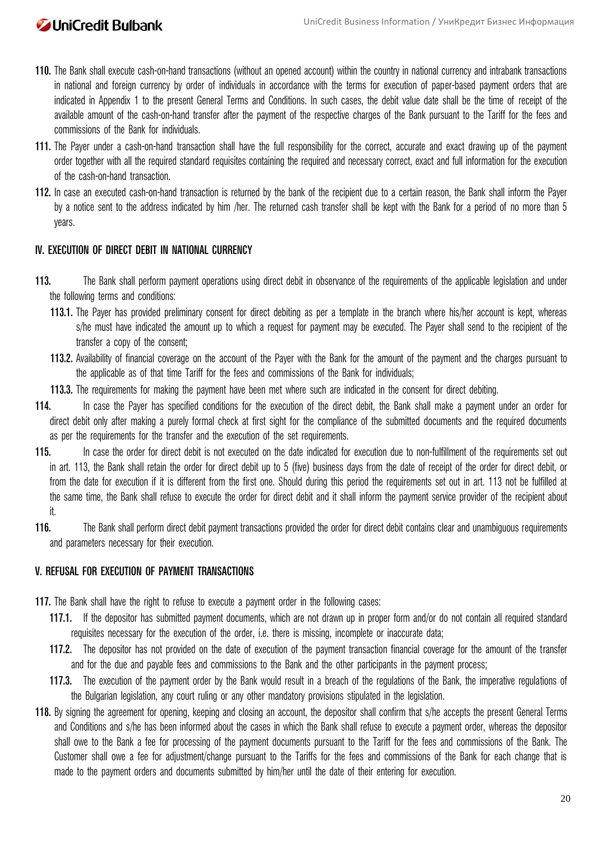- **110.** The Bank shall execute cash-on-hand transactions (without an opened account) within the country in national currency and intrabank transactions in national and foreign currency by order of individuals in accordance with the terms for execution of paper-based payment orders that are indicated in Appendix 1 to the present General Terms and Conditions. In such cases, the debit value date shall be the time of receipt of the available amount of the cash-on-hand transfer after the payment of the respective charges of the Bank pursuant to the Tariff for the fees and commissions of the Bank for individuals.
- **111.** The Payer under a cash-on-hand transaction shall have the full responsibility for the correct, accurate and exact drawing up of the payment order together with all the required standard requisites containing the required and necessary correct, exact and full information for the execution of the cash-on-hand transaction.
- **112.** In case an executed cash-on-hand transaction is returned by the bank of the recipient due to a certain reason, the Bank shall inform the Payer by a notice sent to the address indicated by him /her. The returned cash transfer shall be kept with the Bank for a period of no more than 5 years.

### **ІV. EXECUTION OF DIRECT DEBIT IN NATIONAL CURRENCY**

- **113.** The Bank shall perform payment operations using direct debit in observance of the requirements of the applicable legislation and under the following terms and conditions:
	- **113.1.** The Payer has provided preliminary consent for direct debiting as per a template in the branch where his/her account is kept, whereas s/he must have indicated the amount up to which a request for payment may be executed. The Payer shall send to the recipient of the transfer a copy of the consent;
	- **113.2.** Availability of financial coverage on the account of the Payer with the Bank for the amount of the payment and the charges pursuant to the applicable as of that time Tariff for the fees and commissions of the Bank for individuals;
	- **113.3.** The requirements for making the payment have been met where such are indicated in the consent for direct debiting.
- **114.** In case the Payer has specified conditions for the execution of the direct debit, the Bank shall make a payment under an order for direct debit only after making a purely formal check at first sight for the compliance of the submitted documents and the required documents as per the requirements for the transfer and the execution of the set requirements.
- **115.** In case the order for direct debit is not executed on the date indicated for execution due to non-fulfillment of the requirements set out in art. 113, the Bank shall retain the order for direct debit up to 5 (five) business days from the date of receipt of the order for direct debit, or from the date for execution if it is different from the first one. Should during this period the requirements set out in art. 113 not be fulfilled at the same time, the Bank shall refuse to execute the order for direct debit and it shall inform the payment service provider of the recipient about it.
- **116.** The Bank shall perform direct debit payment transactions provided the order for direct debit contains clear and unambiguous requirements and parameters necessary for their execution.

### **V. REFUSAL FOR EXECUTION OF PAYMENT TRANSACTIONS**

- **117.** The Bank shall have the right to refuse to execute a payment order in the following cases:
	- **117.1.** If the depositor has submitted payment documents, which are not drawn up in proper form and/or do not contain all required standard requisites necessary for the execution of the order, i.e. there is missing, incomplete or inaccurate data;
	- **117.2.** The depositor has not provided on the date of execution of the payment transaction financial coverage for the amount of the transfer and for the due and payable fees and commissions to the Bank and the other participants in the payment process;
	- **117.3.** The execution of the payment order by the Bank would result in a breach of the regulations of the Bank, the imperative regulations of the Bulgarian legislation, any court ruling or any other mandatory provisions stipulated in the legislation.
- **118.** By signing the agreement for opening, keeping and closing an account, the depositor shall confirm that s/he accepts the present General Terms and Conditions and s/he has been informed about the cases in which the Bank shall refuse to execute a payment order, whereas the depositor shall owe to the Bank a fee for processing of the payment documents pursuant to the Tariff for the fees and commissions of the Bank. The Customer shall owe a fee for adjustment/change pursuant to the Tariffs for the fees and commissions of the Bank for each change that is made to the payment orders and documents submitted by him/her until the date of their entering for execution.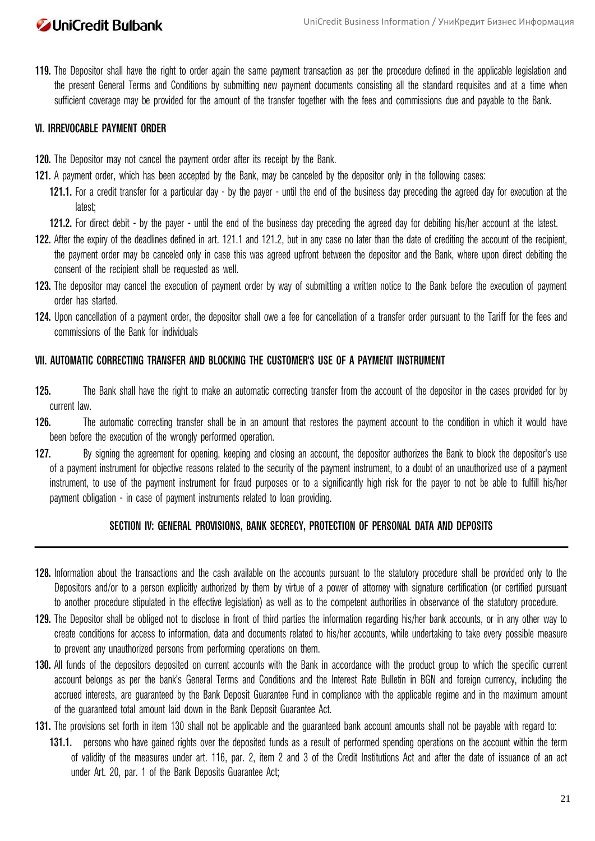**119.** The Depositor shall have the right to order again the same payment transaction as per the procedure defined in the applicable legislation and the present General Terms and Conditions by submitting new payment documents consisting all the standard requisites and at a time when sufficient coverage may be provided for the amount of the transfer together with the fees and commissions due and payable to the Bank.

### **VI. IRREVOCABLE PAYMENT ORDER**

- **120.** The Depositor may not cancel the payment order after its receipt by the Bank.
- **121.** A payment order, which has been accepted by the Bank, may be canceled by the depositor only in the following cases:
	- **121.1.** For a credit transfer for a particular day by the payer until the end of the business day preceding the agreed day for execution at the latest;
	- **121.2.** For direct debit by the payer until the end of the business day preceding the agreed day for debiting his/her account at the latest.
- **122.** After the expiry of the deadlines defined in art. 121.1 and 121.2, but in any case no later than the date of crediting the account of the recipient, the payment order may be canceled only in case this was agreed upfront between the depositor and the Bank, where upon direct debiting the consent of the recipient shall be requested as well.
- **123.** The depositor may cancel the execution of payment order by way of submitting a written notice to the Bank before the execution of payment order has started.
- **124.** Upon cancellation of a payment order, the depositor shall owe a fee for cancellation of a transfer order pursuant to the Tariff for the fees and commissions of the Bank for individuals

### **VII. AUTOMATIC CORRECTING TRANSFER AND BLOCKING THE CUSTOMER'S USE OF A PAYMENT INSTRUMENT**

- **125.** The Bank shall have the right to make an automatic correcting transfer from the account of the depositor in the cases provided for by current law.
- **126.** The automatic correcting transfer shall be in an amount that restores the payment account to the condition in which it would have been before the execution of the wrongly performed operation.
- **127.** By signing the agreement for opening, keeping and closing an account, the depositor authorizes the Bank to block the depositor's use of a payment instrument for objective reasons related to the security of the payment instrument, to a doubt of an unauthorized use of a payment instrument, to use of the payment instrument for fraud purposes or to a significantly high risk for the payer to not be able to fulfill his/her payment obligation - in case of payment instruments related to loan providing.

### **SECTION IV: GENERAL PROVISIONS, BANK SECRECY, PROTECTION OF PERSONAL DATA AND DEPOSITS**

- **128.** Information about the transactions and the cash available on the accounts pursuant to the statutory procedure shall be provided only to the Depositors and/or to a person explicitly authorized by them by virtue of a power of attorney with signature certification (or certified pursuant to another procedure stipulated in the effective legislation) as well as to the competent authorities in observance of the statutory procedure.
- **129.** The Depositor shall be obliged not to disclose in front of third parties the information regarding his/her bank accounts, or in any other way to create conditions for access to information, data and documents related to his/her accounts, while undertaking to take every possible measure to prevent any unauthorized persons from performing operations on them.
- **130.** All funds of the depositors deposited on current accounts with the Bank in accordance with the product group to which the specific current account belongs as per the bank's General Terms and Conditions and the Interest Rate Bulletin in BGN and foreign currency, including the accrued interests, are guaranteed by the Bank Deposit Guarantee Fund in compliance with the applicable regime and in the maximum amount of the guaranteed total amount laid down in the Bank Deposit Guarantee Act.
- **131.** The provisions set forth in item 130 shall not be applicable and the guaranteed bank account amounts shall not be payable with regard to:
	- **131.1.** persons who have gained rights over the deposited funds as a result of performed spending operations on the account within the term of validity of the measures under art. 116, par. 2, item 2 and 3 of the Credit Institutions Act and after the date of issuance of an act under Art. 20, par. 1 of the Bank Deposits Guarantee Act;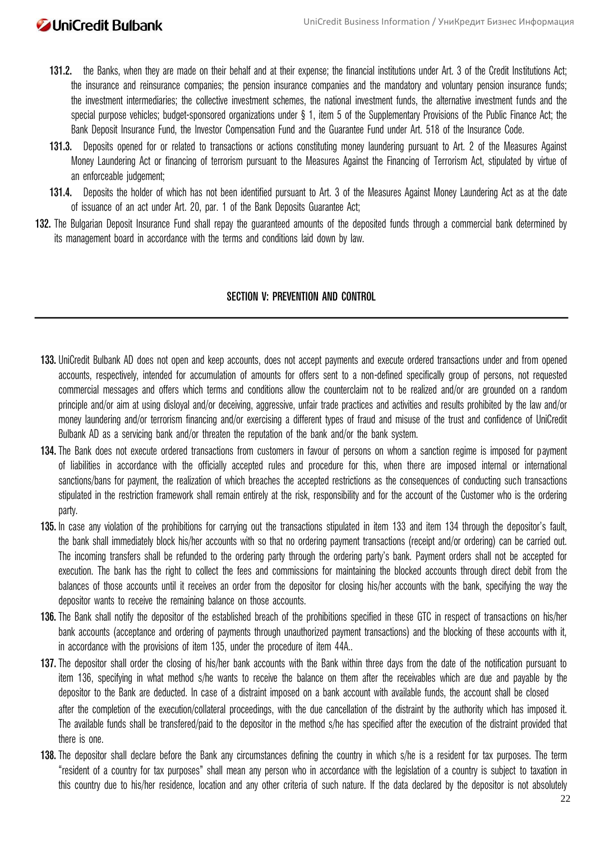- **131.2.** the Banks, when they are made on their behalf and at their expense; the financial institutions under Art. 3 of the Credit Institutions Act; the insurance and reinsurance companies; the pension insurance companies and the mandatory and voluntary pension insurance funds; the investment intermediaries; the collective investment schemes, the national investment funds, the alternative investment funds and the special purpose vehicles; budget-sponsored organizations under § 1, item 5 of the Supplementary Provisions of the Public Finance Act; the Bank Deposit Insurance Fund, the Investor Compensation Fund and the Guarantee Fund under Art. 518 of the Insurance Code.
- **131.3.** Deposits opened for or related to transactions or actions constituting money laundering pursuant to Art. 2 of the Measures Against Money Laundering Act or financing of terrorism pursuant to the Measures Against the Financing of Terrorism Act, stipulated by virtue of an enforceable judgement;
- **131.4.** Deposits the holder of which has not been identified pursuant to Art. 3 of the Measures Against Money Laundering Act as at the date of issuance of an act under Art. 20, par. 1 of the Bank Deposits Guarantee Act;
- **132.** The Bulgarian Deposit Insurance Fund shall repay the guaranteed amounts of the deposited funds through a commercial bank determined by its management board in accordance with the terms and conditions laid down by law.

### **SECTION V: PREVENTION AND CONTROL**

- **133.** UniCredit Bulbank AD does not open and keep accounts, does not accept payments and execute ordered transactions under and from opened accounts, respectively, intended for accumulation of amounts for offers sent to a non-defined specifically group of persons, not requested commercial messages and offers which terms and conditions allow the counterclaim not to be realized and/or are grounded on a random principle and/or aim at using disloyal and/or deceiving, aggressive, unfair trade practices and activities and results prohibited by the law and/or money laundering and/or terrorism financing and/or exercising a different types of fraud and misuse of the trust and confidence of UniCredit Bulbank AD as a servicing bank and/or threaten the reputation of the bank and/or the bank system.
- **134.** The Bank does not execute ordered transactions from customers in favour of persons on whom a sanction regime is imposed for payment of liabilities in accordance with the officially accepted rules and procedure for this, when there are imposed internal or international sanctions/bans for payment, the realization of which breaches the accepted restrictions as the consequences of conducting such transactions stipulated in the restriction framework shall remain entirely at the risk, responsibility and for the account of the Customer who is the ordering party.
- **135.** In case any violation of the prohibitions for carrying out the transactions stipulated in item 133 and item 134 through the depositor's fault, the bank shall immediately block his/her accounts with so that no ordering payment transactions (receipt and/or ordering) can be carried out. The incoming transfers shall be refunded to the ordering party through the ordering party's bank. Payment orders shall not be accepted for execution. The bank has the right to collect the fees and commissions for maintaining the blocked accounts through direct debit from the balances of those accounts until it receives an order from the depositor for closing his/her accounts with the bank, specifying the way the depositor wants to receive the remaining balance on those accounts.
- **136.** The Bank shall notify the depositor of the established breach of the prohibitions specified in these GTC in respect of transactions on his/her bank accounts (acceptance and ordering of payments through unauthorized payment transactions) and the blocking of these accounts with it, in accordance with the provisions of item 135, under the procedure of item 44A..
- **137.** The depositor shall order the closing of his/her bank accounts with the Bank within three days from the date of the notification pursuant to item 136, specifying in what method s/he wants to receive the balance on them after the receivables which are due and payable by the depositor to the Bank are deducted. In case of a distraint imposed on a bank account with available funds, the account shall be closed after the completion of the execution/collateral proceedings, with the due cancellation of the distraint by the authority which has imposed it. The available funds shall be transfered/paid to the depositor in the method s/he has specified after the execution of the distraint provided that there is one.
- **138.** The depositor shall declare before the Bank any circumstances defining the country in which s/he is a resident for tax purposes. The term "resident of a country for tax purposes" shall mean any person who in accordance with the legislation of a country is subject to taxation in this country due to his/her residence, location and any other criteria of such nature. If the data declared by the depositor is not absolutely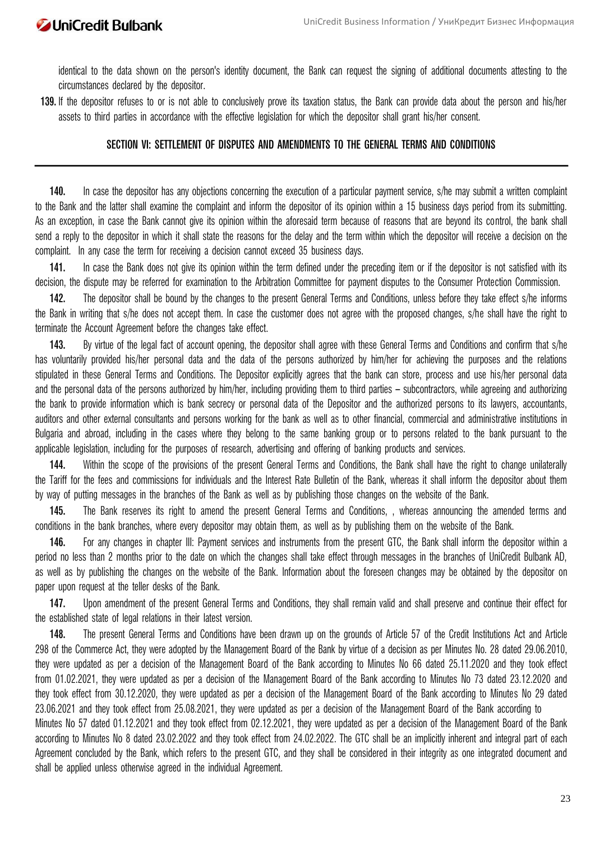identical to the data shown on the person's identity document, the Bank can request the signing of additional documents attesting to the circumstances declared by the depositor.

**139.** If the depositor refuses to or is not able to conclusively prove its taxation status, the Bank can provide data about the person and his/her assets to third parties in accordance with the effective legislation for which the depositor shall grant his/her consent.

#### **SECTION VI: SETTLEMENT OF DISPUTES AND AMENDMENTS TO THE GENERAL TERMS AND CONDITIONS**

**140.** In case the depositor has any objections concerning the execution of a particular payment service, s/he may submit a written complaint to the Bank and the latter shall examine the complaint and inform the depositor of its opinion within a 15 business days period from its submitting. As an exception, in case the Bank cannot give its opinion within the aforesaid term because of reasons that are beyond its control, the bank shall send a reply to the depositor in which it shall state the reasons for the delay and the term within which the depositor will receive a decision on the complaint. In any case the term for receiving a decision cannot exceed 35 business days.

**141.** In case the Bank does not give its opinion within the term defined under the preceding item or if the depositor is not satisfied with its decision, the dispute may be referred for examination to the Arbitration Committee for payment disputes to the Consumer Protection Commission.

**142.** The depositor shall be bound by the changes to the present General Terms and Conditions, unless before they take effect s/he informs the Bank in writing that s/he does not accept them. In case the customer does not agree with the proposed changes, s/he shall have the right to terminate the Account Agreement before the changes take effect.

**143.** By virtue of the legal fact of account opening, the depositor shall agree with these General Terms and Conditions and confirm that s/he has voluntarily provided his/her personal data and the data of the persons authorized by him/her for achieving the purposes and the relations stipulated in these General Terms and Conditions. The Depositor explicitly agrees that the bank can store, process and use his/her personal data and the personal data of the persons authorized by him/her, including providing them to third parties – subcontractors, while agreeing and authorizing the bank to provide information which is bank secrecy or personal data of the Depositor and the authorized persons to its lawyers, accountants, auditors and other external consultants and persons working for the bank as well as to other financial, commercial and administrative institutions in Bulgaria and abroad, including in the cases where they belong to the same banking group or to persons related to the bank pursuant to the applicable legislation, including for the purposes of research, advertising and offering of banking products and services.

144. Within the scope of the provisions of the present General Terms and Conditions, the Bank shall have the right to change unilaterally the Tariff for the fees and commissions for individuals and the Interest Rate Bulletin of the Bank, whereas it shall inform the depositor about them by way of putting messages in the branches of the Bank as well as by publishing those changes on the website of the Bank.

**145.** The Bank reserves its right to amend the present General Terms and Conditions, , whereas announcing the amended terms and conditions in the bank branches, where every depositor may obtain them, as well as by publishing them on the website of the Bank.

**146.** For any changes in chapter III: Payment services and instruments from the present GTC, the Bank shall inform the depositor within a period no less than 2 months prior to the date on which the changes shall take effect through messages in the branches of UniCredit Bulbank AD, as well as by publishing the changes on the website of the Bank. Information about the foreseen changes may be obtained by the depositor on paper upon request at the teller desks of the Bank.

147. Upon amendment of the present General Terms and Conditions, they shall remain valid and shall preserve and continue their effect for the established state of legal relations in their latest version.

**148.** The present General Terms and Conditions have been drawn up on the grounds of Article 57 of the Credit Institutions Act and Article 298 of the Commerce Act, they were adopted by the Management Board of the Bank by virtue of a decision as per Minutes No. 28 dated 29.06.2010, they were updated as per a decision of the Management Board of the Bank according to Minutes No 66 dated 25.11.2020 and they took effect from 01.02.2021, they were updated as per a decision of the Management Board of the Bank according to Minutes No 73 dated 23.12.2020 and they took effect from 30.12.2020, they were updated as per a decision of the Management Board of the Bank according to Minutes No 29 dated 23.06.2021 and they took effect from 25.08.2021, they were updated as per a decision of the Management Board of the Bank according to Minutes No 57 dated 01.12.2021 and they took effect from 02.12.2021, they were updated as per a decision of the Management Board of the Bank according to Minutes No 8 dated 23.02.2022 and they took effect from 24.02.2022. The GTC shall be an implicitly inherent and integral part of each Agreement concluded by the Bank, which refers to the present GTC, and they shall be considered in their integrity as one integrated document and shall be applied unless otherwise agreed in the individual Agreement.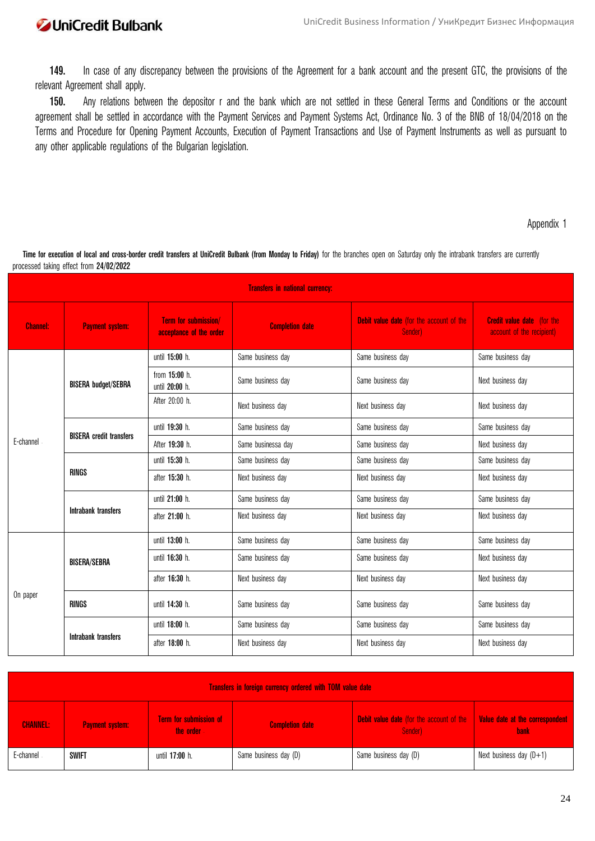**149.** In case of any discrepancy between the provisions of the Agreement for a bank account and the present GTC, the provisions of the relevant Agreement shall apply.

**150.** Any relations between the depositor r and the bank which are not settled in these General Terms and Conditions or the account agreement shall be settled in accordance with the Payment Services and Payment Systems Act, Ordinance No. 3 of the BNB of 18/04/2018 on the Terms and Procedure for Opening Payment Accounts, Execution of Payment Transactions and Use of Payment Instruments as well as pursuant to any other applicable regulations of the Bulgarian legislation.

### Appendix 1

Time for execution of local and cross-border credit transfers at UniCredit Bulbank (from Monday to Friday) for the branches open on Saturday only the intrabank transfers are currently processed taking effect from **24/02/2022**

| <b>Transfers in national currency:</b> |                                |                                                 |                        |                                                     |                                                                |
|----------------------------------------|--------------------------------|-------------------------------------------------|------------------------|-----------------------------------------------------|----------------------------------------------------------------|
| <b>Channel:</b>                        | <b>Payment system:</b>         | Term for submission/<br>acceptance of the order | <b>Completion date</b> | Debit value date (for the account of the<br>Sender) | <b>Credit value date</b> (for the<br>account of the recipient) |
|                                        | <b>BISERA budget/SEBRA</b>     | until 15:00 h.                                  | Same business day      | Same business day                                   | Same business day                                              |
| E-channel                              |                                | from 15:00 h.<br>until 20:00 h.                 | Same business day      | Same business day                                   | Next business day                                              |
|                                        |                                | After 20:00 h.                                  | Next business day      | Next business day                                   | Next business day                                              |
|                                        | <b>BISERA</b> credit transfers | until 19:30 h.                                  | Same business day      | Same business day                                   | Same business day                                              |
|                                        |                                | After 19:30 h.                                  | Same businessa day     | Same business day                                   | Next business day                                              |
|                                        | <b>RINGS</b>                   | until 15:30 h.                                  | Same business day      | Same business day                                   | Same business day                                              |
|                                        |                                | after 15:30 h.                                  | Next business day      | Next business day                                   | Next business day                                              |
|                                        | Intrabank transfers            | until 21:00 h.                                  | Same business day      | Same business day                                   | Same business day                                              |
|                                        |                                | after 21:00 h.                                  | Next business day      | Next business day                                   | Next business day                                              |
| On paper                               |                                | until 13:00 h.                                  | Same business day      | Same business day                                   | Same business day                                              |
|                                        | <b>BISERA/SEBRA</b>            | until 16:30 h.                                  | Same business day      | Same business day                                   | Next business day                                              |
|                                        |                                | after 16:30 h.                                  | Next business day      | Next business day                                   | Next business day                                              |
|                                        | <b>RINGS</b>                   | until 14:30 h.                                  | Same business day      | Same business day                                   | Same business day                                              |
|                                        |                                | until 18:00 h.                                  | Same business day      | Same business day                                   | Same business day                                              |
|                                        | <b>Intrabank transfers</b>     | after 18:00 h.                                  | Next business day      | Next business day                                   | Next business day                                              |

| Transfers in foreign currency ordered with TOM value date |                        |                                            |                        |                                                            |                                                |
|-----------------------------------------------------------|------------------------|--------------------------------------------|------------------------|------------------------------------------------------------|------------------------------------------------|
| <b>CHANNEL:</b>                                           | <b>Payment system:</b> | <b>Term for submission of</b><br>the order | <b>Completion date</b> | <b>Debit value date</b> (for the account of the<br>Sender) | Value date at the correspondent<br><b>bank</b> |
| E-channel                                                 | SWIFT                  | until 17:00 h.                             | Same business day (D)  | Same business day (D)                                      | Next business day $(D+1)$                      |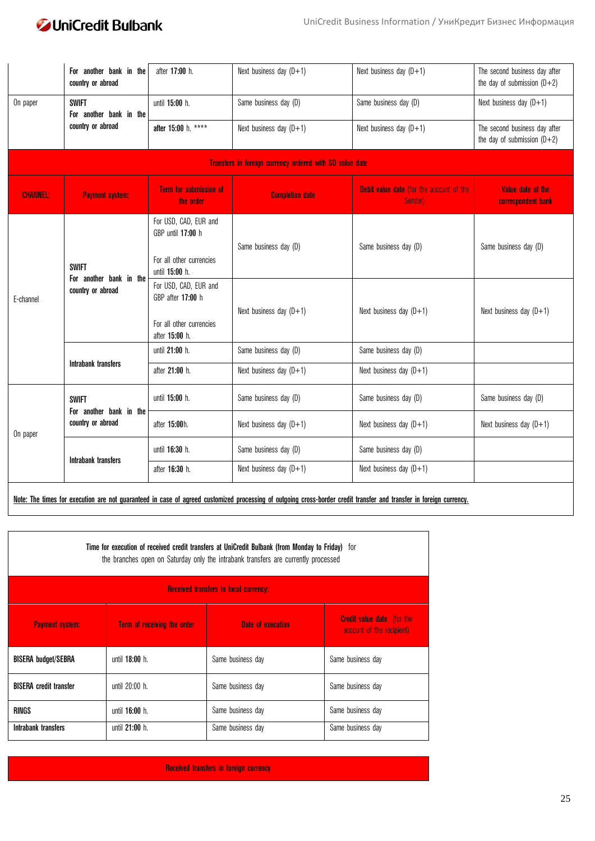

|                 | For another bank in the<br>country or abroad                 | after 17:00 h.                                                                           | Next business day $(D+1)$                                | Next business day $(D+1)$                           | The second business day after<br>the day of submission $(D+2)$ |
|-----------------|--------------------------------------------------------------|------------------------------------------------------------------------------------------|----------------------------------------------------------|-----------------------------------------------------|----------------------------------------------------------------|
| On paper        | <b>SWIFT</b><br>For another bank in the                      | until 15:00 h.                                                                           | Same business day (D)                                    | Same business day (D)                               | Next business day $(D+1)$                                      |
|                 | country or abroad                                            | after 15:00 h. ****                                                                      | Next business day $(D+1)$                                | Next business day $(D+1)$                           | The second business day after<br>the day of submission $(D+2)$ |
|                 |                                                              |                                                                                          | Transfers in foreign currency ordered with SD value date |                                                     |                                                                |
| <b>CHANNEL:</b> | <b>Payment system:</b>                                       | <b>Term for submission of</b><br>the order                                               | <b>Completion date</b>                                   | Debit value date (for the account of the<br>Sender) | Value date at the<br>correspondent bank                        |
| E-channel       | <b>SWIFT</b><br>For another bank in the<br>country or abroad | For USD, CAD, EUR and<br>GBP until 17:00 h<br>For all other currencies<br>until 15:00 h. | Same business day (D)                                    | Same business day (D)                               | Same business day (D)                                          |
|                 |                                                              | For USD, CAD, EUR and<br>GBP after 17:00 h<br>For all other currencies<br>after 15:00 h. | Next business day $(D+1)$                                | Next business day $(D+1)$                           | Next business day $(D+1)$                                      |
|                 | Intrabank transfers                                          | until 21:00 h.                                                                           | Same business day (D)                                    | Same business day (D)                               |                                                                |
|                 |                                                              | after 21:00 h.                                                                           | Next business day $(D+1)$                                | Next business day $(D+1)$                           |                                                                |
| On paper        | <b>SWIFT</b><br>For another bank in the                      | until 15:00 h.                                                                           | Same business day (D)                                    | Same business day (D)                               | Same business day (D)                                          |
|                 | country or abroad                                            | after 15:00h.                                                                            | Next business day $(D+1)$                                | Next business day $(D+1)$                           | Next business day $(D+1)$                                      |
|                 | Intrabank transfers                                          | until 16:30 h.                                                                           | Same business day (D)                                    | Same business day (D)                               |                                                                |
|                 |                                                              | after 16:30 h.                                                                           | Next business day $(D+1)$                                | Next business day $(D+1)$                           |                                                                |
|                 |                                                              |                                                                                          |                                                          |                                                     |                                                                |

**Note: The times for execution are not guaranteed in case of agreed customized processing of outgoing cross-border credit transfer and transfer in foreign currency.**

| Time for execution of received credit transfers at UniCredit Bulbank (from Monday to Friday) for<br>the branches open on Saturday only the intrabank transfers are currently processed |                             |                   |                                                                |  |
|----------------------------------------------------------------------------------------------------------------------------------------------------------------------------------------|-----------------------------|-------------------|----------------------------------------------------------------|--|
| <b>Received transfers in local currency:</b>                                                                                                                                           |                             |                   |                                                                |  |
| <b>Payment system:</b>                                                                                                                                                                 | Term of receiving the order | Date of execution | <b>Credit value date</b> (for the<br>account of the recipient) |  |
| <b>BISERA budget/SEBRA</b>                                                                                                                                                             | until 18:00 h.              | Same business day | Same business day                                              |  |
| <b>BISERA</b> credit transfer                                                                                                                                                          | until 20:00 h.              | Same business day | Same business day                                              |  |
| <b>RINGS</b>                                                                                                                                                                           | until 16:00 h.              | Same business day | Same business day                                              |  |
| Intrabank transfers                                                                                                                                                                    | until 21:00 h.              | Same business day | Same business day                                              |  |

**Received transfers in foreign currency**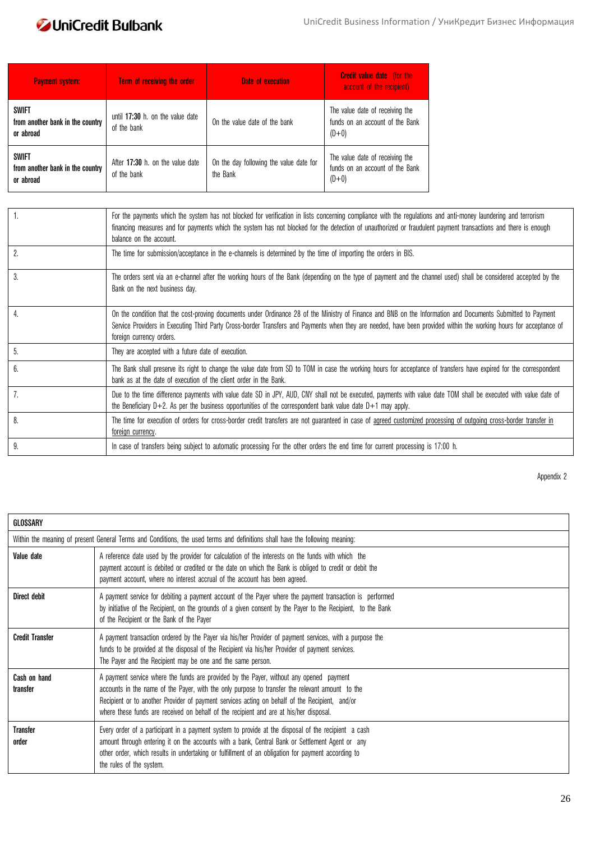| <b>Payment system:</b>                                        | Term of receiving the order                     | Date of execution                                   | <b>Credit value date</b> (for the<br>account of the recipient)                |
|---------------------------------------------------------------|-------------------------------------------------|-----------------------------------------------------|-------------------------------------------------------------------------------|
| <b>SWIFT</b><br>from another bank in the country<br>or abroad | until 17:30 h. on the value date<br>of the bank | On the value date of the bank                       | The value date of receiving the<br>funds on an account of the Bank<br>$(D+0)$ |
| <b>SWIFT</b><br>from another bank in the country<br>or abroad | After 17:30 h. on the value date<br>of the bank | On the day following the value date for<br>the Bank | The value date of receiving the<br>funds on an account of the Bank<br>$(D+0)$ |

|    | For the payments which the system has not blocked for verification in lists concerning compliance with the regulations and anti-money laundering and terrorism<br>financing measures and for payments which the system has not blocked for the detection of unauthorized or fraudulent payment transactions and there is enough<br>balance on the account.     |
|----|----------------------------------------------------------------------------------------------------------------------------------------------------------------------------------------------------------------------------------------------------------------------------------------------------------------------------------------------------------------|
| 2. | The time for submission/acceptance in the e-channels is determined by the time of importing the orders in BIS.                                                                                                                                                                                                                                                 |
| 3. | The orders sent via an e-channel after the working hours of the Bank (depending on the type of payment and the channel used) shall be considered accepted by the<br>Bank on the next business day.                                                                                                                                                             |
| 4. | On the condition that the cost-proving documents under Ordinance 28 of the Ministry of Finance and BNB on the Information and Documents Submitted to Payment<br>Service Providers in Executing Third Party Cross-border Transfers and Payments when they are needed, have been provided within the working hours for acceptance of<br>foreign currency orders. |
| 5. | They are accepted with a future date of execution.                                                                                                                                                                                                                                                                                                             |
| 6. | The Bank shall preserve its right to change the value date from SD to TOM in case the working hours for acceptance of transfers have expired for the correspondent<br>bank as at the date of execution of the client order in the Bank.                                                                                                                        |
| 7. | Due to the time difference payments with value date SD in JPY, AUD, CNY shall not be executed, payments with value date TOM shall be executed with value date of<br>the Beneficiary $D+2$ . As per the business opportunities of the correspondent bank value date $D+1$ may apply.                                                                            |
| 8. | The time for execution of orders for cross-border credit transfers are not guaranteed in case of agreed customized processing of outgoing cross-border transfer in<br>foreign currency.                                                                                                                                                                        |
| 9. | In case of transfers being subject to automatic processing For the other orders the end time for current processing is 17:00 h.                                                                                                                                                                                                                                |

Appendix 2

| GLOSSARY                 |                                                                                                                                                                                                                                                                                                                                                                                        |
|--------------------------|----------------------------------------------------------------------------------------------------------------------------------------------------------------------------------------------------------------------------------------------------------------------------------------------------------------------------------------------------------------------------------------|
|                          | Within the meaning of present General Terms and Conditions, the used terms and definitions shall have the following meaning:                                                                                                                                                                                                                                                           |
| Value date               | A reference date used by the provider for calculation of the interests on the funds with which the<br>payment account is debited or credited or the date on which the Bank is obliged to credit or debit the<br>payment account, where no interest accrual of the account has been agreed.                                                                                             |
| Direct debit             | A payment service for debiting a payment account of the Payer where the payment transaction is performed<br>by initiative of the Recipient, on the grounds of a given consent by the Payer to the Recipient, to the Bank<br>of the Recipient or the Bank of the Payer                                                                                                                  |
| <b>Credit Transfer</b>   | A payment transaction ordered by the Payer via his/her Provider of payment services, with a purpose the<br>funds to be provided at the disposal of the Recipient via his/her Provider of payment services.<br>The Payer and the Recipient may be one and the same person.                                                                                                              |
| Cash on hand<br>transfer | A payment service where the funds are provided by the Payer, without any opened payment<br>accounts in the name of the Payer, with the only purpose to transfer the relevant amount to the<br>Recipient or to another Provider of payment services acting on behalf of the Recipient, and/or<br>where these funds are received on behalf of the recipient and are at his/her disposal. |
| <b>Transfer</b><br>order | Every order of a participant in a payment system to provide at the disposal of the recipient a cash<br>amount through entering it on the accounts with a bank, Central Bank or Settlement Agent or any<br>other order, which results in undertaking or fulfillment of an obligation for payment according to<br>the rules of the system.                                               |